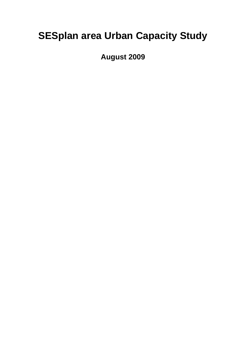# **SESplan area Urban Capacity Study**

**August 2009**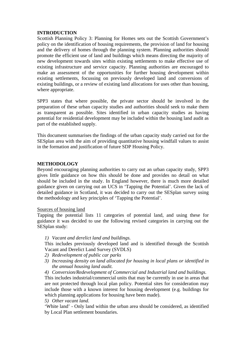## **INTRODUCTION**

Scottish Planning Policy 3: Planning for Homes sets out the Scottish Government's policy on the identification of housing requirements, the provision of land for housing and the delivery of homes through the planning system. Planning authorities should promote the efficient use of land and buildings which means directing the majority of new development towards sites within existing settlements to make effective use of existing infrastructure and service capacity. Planning authorities are encouraged to make an assessment of the opportunities for further housing development within existing settlements, focussing on previously developed land and conversions of existing buildings, or a review of existing land allocations for uses other than housing, where appropriate.

SPP3 states that where possible, the private sector should be involved in the preparation of these urban capacity studies and authorities should seek to make them as transparent as possible. Sites identified in urban capacity studies as having potential for residential development may be included within the housing land audit as part of the established supply.

This document summarises the findings of the urban capacity study carried out for the SESplan area with the aim of providing quantitative housing windfall values to assist in the formation and justification of future SDP Housing Policy.

# **METHODOLOGY**

Beyond encouraging planning authorities to carry out an urban capacity study, SPP3 gives little guidance on how this should be done and provides no detail on what should be included in the study. In England however, there is much more detailed guidance given on carrying out an UCS in 'Tapping the Potential'. Given the lack of detailed guidance in Scotland, it was decided to carry out the SESplan survey using the methodology and key principles of 'Tapping the Potential'.

## Sources of housing land

Tapping the potential lists 11 categories of potential land, and using these for guidance it was decided to use the following revised categories in carrying out the SESplan study:

*1) Vacant and derelict land and buildings.* 

This includes previously developed land and is identified through the Scottish Vacant and Derelict Land Survey (SVDLS)

- *2) Redevelopment of public car parks*
- *3) Increasing density on land allocated for housing in local plans or identified in the annual housing land audit.*
- *4) Conversion/Redevelopment of Commercial and Industrial land and buildings.*

This includes industrial/commercial units that may be currently in use in areas that are not protected through local plan policy. Potential sites for consideration may include those with a known interest for housing development (e.g. buildings for which planning applications for housing have been made).

*5) Other vacant land.* 

'White land' - Only land within the urban area should be considered, as identified by Local Plan settlement boundaries.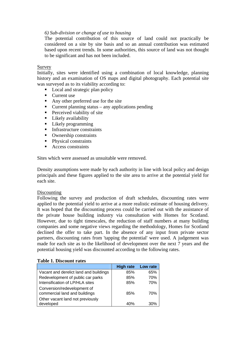# *6) Sub-division or change of use to housing*

The potential contribution of this source of land could not practically be considered on a site by site basis and so an annual contribution was estimated based upon recent trends. In some authorities, this source of land was not thought to be significant and has not been included.

#### Survey

Initially, sites were identified using a combination of local knowledge, planning history and an examination of OS maps and digital photography. Each potential site was surveyed as to its viability according to:

- Local and strategic plan policy
- Current use
- Any other preferred use for the site
- $\blacksquare$  Current planning status any applications pending
- **Perceived viability of site**
- **Likely** availability
- **Likely programming**
- **Infrastructure constraints**
- Ownership constraints
- Physical constraints
- Access constraints

Sites which were assessed as unsuitable were removed.

Density assumptions were made by each authority in line with local policy and design principals and these figures applied to the site area to arrive at the potential yield for each site.

## Discounting

Following the survey and production of draft schedules, discounting rates were applied to the potential yield to arrive at a more realistic estimate of housing delivery. It was hoped that the discounting process could be carried out with the assistance of the private house building industry via consultation with Homes for Scotland. However, due to tight timescales, the reduction of staff numbers at many building companies and some negative views regarding the methodology, Homes for Scotland declined the offer to take part. In the absence of any input from private sector partners, discounting rates from 'tapping the potential' were used. A judgement was made for each site as to the likelihood of development over the next 7 years and the potential housing yield was discounted according to the following rates.

|                                                              | <b>High rate</b> | Low rate |  |  |  |  |  |  |  |
|--------------------------------------------------------------|------------------|----------|--|--|--|--|--|--|--|
| Vacant and derelict land and buildings                       | 85%              | 65%      |  |  |  |  |  |  |  |
| Redevelopment of public car parks                            | 85%              | 70%      |  |  |  |  |  |  |  |
| Intensification of LP/HLA sites                              | 85%              | 70%      |  |  |  |  |  |  |  |
| Conversion/redevelopment of<br>commercial land and buildings | 85%              | 70%      |  |  |  |  |  |  |  |
| Other vacant land not previously<br>developed                | 40%              |          |  |  |  |  |  |  |  |

#### **Table 1. Discount rates**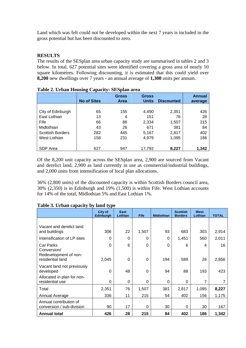Land which was felt could not be developed within the next 7 years is included in the gross potential but has been discounted to zero.

# **RESULTS**

The results of the SESplan area urban capacity study are summarised in tables 2 and 3 below. In total, 627 potential sites were identified covering a gross area of nearly 10 square kilometres. Following discounting, it is estimated that this could yield over **8,200** new dwellings over 7 years - an annual average of **1,300** units per annum.

|                         | ъ<br><b>No of Sites</b> | <b>Gross</b><br>Area | <b>Gross</b><br><b>Units</b> | <b>Discounted</b> | <b>Annual</b><br>average |
|-------------------------|-------------------------|----------------------|------------------------------|-------------------|--------------------------|
|                         |                         |                      |                              |                   |                          |
| City of Edinburgh       | 65                      | 155                  | 4,490                        | 2,351             | 426                      |
| East Lothian            | 13                      | 4                    | 151                          | 76                | 28                       |
| Fife                    | 66                      | 86                   | 2,334                        | 1,507             | 215                      |
| Midlothian              | 43                      | 26                   | 671                          | 381               | 84                       |
| <b>Scottish Borders</b> | 282                     | 445                  | 5,167                        | 2,817             | 402                      |
| West Lothian            | 158                     | 231                  | 4,979                        | 1,095             | 186                      |
|                         |                         |                      |                              |                   |                          |
| SDP Area                | 627                     | 947                  | 17,792                       | 8,227             | 1,342                    |

## **Table 2. Urban Housing Capacity: SESplan area**

Of the 8,200 unit capacity across the SESplan area, 2,900 are sourced from Vacant and derelict land, 2,900 as land currently in use as commercial/industrial buildings, and 2,000 units from intensification of local plan allocations.

36% (2,800 units) of the discounted capacity is within Scottish Borders council area, 30% (2,350) is in Edinburgh and 19% (1,500) is within Fife. West Lothian accounts for 14% of the total, Midlothian 5% and East Lothian 1%.

|                                                     | City of<br><b>Edinburgh</b> | East<br>Lothian | <b>Fife</b> | <b>Midlothian</b> | <b>Scottish</b><br><b>Borders</b> | West<br>Lothian | <b>TOTAL</b> |
|-----------------------------------------------------|-----------------------------|-----------------|-------------|-------------------|-----------------------------------|-----------------|--------------|
|                                                     |                             |                 |             |                   |                                   |                 |              |
| Vacant and derelict land<br>and buildings           | 306                         | 22              | 1,507       | 93                | 683                               | 303             | 2,914        |
| Intensification of LP sites                         | 0                           | 0               | 0           | $\Omega$          | 1,451                             | 560             | 2,011        |
| Car Parks<br>Conversion/<br>Redevelopment of non-   | $\Omega$                    | 6               | $\Omega$    | $\Omega$          | 6                                 | 4               | 16           |
| residential land                                    | 2,045                       | $\Omega$        | 0           | 194               | 589                               | 28              | 2,856        |
| Vacant land not previously<br>developed             | $\Omega$                    | 48              | 0           | 94                | 88                                | 193             | 423          |
| Allocated in plan for non-<br>residential use       | 0                           | 0               | 0           | $\Omega$          | $\Omega$                          | 7               |              |
| Total                                               | 2,351                       | 76              | 1,507       | 381               | 2,817                             | 1,095           | 8,227        |
| Annual Average                                      | 336                         | 11              | 215         | 54                | 402                               | 156             | 1,175        |
| Annual contribution of<br>conversion / sub-division | 90                          | 17              | 0           | 30                | 0                                 | 30              | 167          |
| <b>Annual total</b>                                 | 426                         | 28              | 215         | 84                | 402                               | 186             | 1,342        |

## **Table 3. Urban capacity by land type**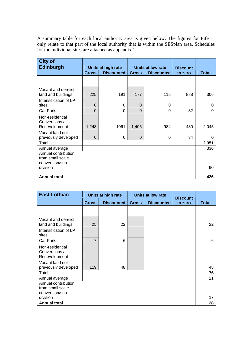A summary table for each local authority area is given below. The figures for Fife only relate to that part of the local authority that is within the SESplan area. Schedules for the individual sites are attached as appendix 1.

| <b>City of</b><br><b>Edinburgh</b>                         |              | Units at high rate<br>Units at low rate<br><b>Discount</b> |                                   |          |         |              |
|------------------------------------------------------------|--------------|------------------------------------------------------------|-----------------------------------|----------|---------|--------------|
|                                                            | <b>Gross</b> | <b>Discounted</b>                                          | <b>Discounted</b><br><b>Gross</b> |          | to zero | <b>Total</b> |
|                                                            |              |                                                            |                                   |          |         |              |
| Vacant and derelict<br>land and buildings                  | 225          | 191                                                        | 177                               | 115      | 888     | 306          |
| Intensification of LP<br>sites                             | $\Omega$     | $\Omega$                                                   | $\Omega$                          | $\Omega$ |         | O            |
| Car Parks                                                  | $\Omega$     | $\Omega$                                                   | $\Omega$                          | 0        | 32      | ი            |
| Non-residential<br>Conversions /<br>Redevelopment          | 1,248        | 1061                                                       | 1,406                             | 984      | 480     | 2,045        |
| Vacant land not<br>previously developed                    | 0            | 0                                                          | $\Omega$                          | 0        | 34      | 0            |
| Total                                                      |              |                                                            |                                   |          |         | 2,351        |
| Annual average                                             |              |                                                            |                                   |          |         | 336          |
| Annual contribution<br>from small scale<br>conversion/sub- |              |                                                            |                                   |          |         |              |
| division                                                   |              |                                                            |                                   |          |         | 90           |
| <b>Annual total</b>                                        |              |                                                            |                                   |          |         | 426          |

| <b>East Lothian</b>                                                |              | Units at high rate | Units at low rate |                   | <b>Discount</b> |       |
|--------------------------------------------------------------------|--------------|--------------------|-------------------|-------------------|-----------------|-------|
|                                                                    | <b>Gross</b> | <b>Discounted</b>  | <b>Gross</b>      | <b>Discounted</b> | to zero         | Total |
|                                                                    |              |                    |                   |                   |                 |       |
| Vacant and derelict<br>land and buildings<br>Intensification of LP | 25           | 22                 |                   |                   |                 | 22    |
| sites<br>Car Parks                                                 | 7            | 6                  |                   |                   |                 | 6     |
| Non-residential<br>Conversions /<br>Redevelopment                  |              |                    |                   |                   |                 |       |
| Vacant land not<br>previously developed                            | 119          | 48                 |                   |                   |                 | 48    |
| Total                                                              |              |                    |                   |                   |                 | 76    |
| Annual average                                                     |              |                    |                   |                   |                 | 11    |
| Annual contribution<br>from small scale<br>conversion/sub-         |              |                    |                   |                   |                 |       |
| division                                                           |              |                    |                   |                   |                 | 17    |
| <b>Annual total</b>                                                |              |                    |                   |                   |                 | 28    |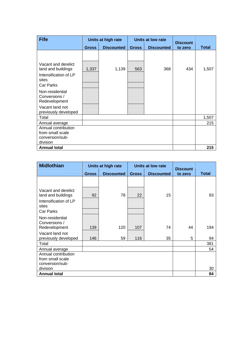| <b>Fife</b>                                       |              | Units at high rate |              | Units at low rate | <b>Discount</b> |              |
|---------------------------------------------------|--------------|--------------------|--------------|-------------------|-----------------|--------------|
|                                                   | <b>Gross</b> | <b>Discounted</b>  | <b>Gross</b> | <b>Discounted</b> | to zero         | <b>Total</b> |
|                                                   |              |                    |              |                   |                 |              |
| Vacant and derelict<br>land and buildings         | 1,337        | 1,139              | 563          | 368               | 434             | 1,507        |
| Intensification of LP<br>sites                    |              |                    |              |                   |                 |              |
| Car Parks                                         |              |                    |              |                   |                 |              |
| Non-residential<br>Conversions /<br>Redevelopment |              |                    |              |                   |                 |              |
| Vacant land not<br>previously developed           |              |                    |              |                   |                 |              |
| Total                                             |              |                    |              |                   |                 | 1,507        |
| Annual average                                    |              |                    |              |                   |                 | 215          |
| Annual contribution<br>from small scale           |              |                    |              |                   |                 |              |
| conversion/sub-                                   |              |                    |              |                   |                 |              |
| division                                          |              |                    |              |                   |                 |              |
| <b>Annual total</b>                               |              |                    |              |                   |                 | 215          |

| <b>Midlothian</b>                                                           |              | Units at high rate |              | Units at low rate | <b>Discount</b> |              |
|-----------------------------------------------------------------------------|--------------|--------------------|--------------|-------------------|-----------------|--------------|
|                                                                             | <b>Gross</b> | <b>Discounted</b>  | <b>Gross</b> | <b>Discounted</b> | to zero         | <b>Total</b> |
|                                                                             |              |                    |              |                   |                 |              |
| Vacant and derelict<br>land and buildings<br>Intensification of LP<br>sites | 92           | 78                 | 22           | 15                |                 | 93           |
| Car Parks                                                                   |              |                    |              |                   |                 |              |
| Non-residential<br>Conversions /<br>Redevelopment                           | 139          | 120                | 107          | 74                | 44              | 194          |
| Vacant land not<br>previously developed                                     | 146          | 59                 | 116          | 35                | 5               | 94           |
| Total                                                                       |              |                    |              |                   |                 | 381          |
| Annual average                                                              |              |                    |              |                   |                 | 54           |
| Annual contribution                                                         |              |                    |              |                   |                 |              |
| from small scale                                                            |              |                    |              |                   |                 |              |
| conversion/sub-<br>division                                                 |              |                    |              |                   |                 | 30           |
| <b>Annual total</b>                                                         |              |                    |              |                   |                 | 84           |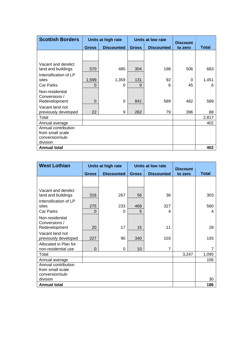| <b>Scottish Borders</b>                                                |                   | Units at high rate |              | Units at low rate | <b>Discount</b> |              |
|------------------------------------------------------------------------|-------------------|--------------------|--------------|-------------------|-----------------|--------------|
|                                                                        | <b>Gross</b>      | <b>Discounted</b>  | <b>Gross</b> | <b>Discounted</b> | to zero         | <b>Total</b> |
|                                                                        |                   |                    |              |                   |                 |              |
| Vacant and derelict<br>land and buildings                              | 570               | 485                | 304          | 198               | 506             | 683          |
| Intensification of LP<br>sites<br>Car Parks                            | 1,599<br>$\Omega$ | 1,359<br>0         | 131<br>9     | 92<br>6           | 0<br>45         | 1,451<br>6   |
| Non-residential<br>Conversions /                                       |                   |                    |              |                   |                 |              |
| Redevelopment                                                          | $\Omega$          | $\Omega$           | 841          | 589               | 482             | 589          |
| Vacant land not<br>previously developed                                | 22                | 9                  | 262          | 79                | 396             | 88           |
| Total                                                                  |                   |                    |              |                   |                 | 2,817        |
| Annual average                                                         |                   |                    |              |                   |                 | 402          |
| Annual contribution<br>from small scale<br>conversion/sub-<br>division |                   |                    |              |                   |                 |              |
| <b>Annual total</b>                                                    |                   |                    |              |                   |                 | 402          |

| <b>West Lothian</b>   | Units at high rate<br>Units at low rate |                   |              | <b>Discount</b>   |         |              |
|-----------------------|-----------------------------------------|-------------------|--------------|-------------------|---------|--------------|
|                       | <b>Gross</b>                            | <b>Discounted</b> | <b>Gross</b> | <b>Discounted</b> | to zero | <b>Total</b> |
|                       |                                         |                   |              |                   |         |              |
|                       |                                         |                   |              |                   |         |              |
| Vacant and derelict   |                                         |                   |              |                   |         |              |
| land and buildings    | 316                                     | 267               | 56           | 36                |         | 303          |
| Intensification of LP |                                         |                   |              |                   |         |              |
| sites                 | 275                                     | 233               | 468          | 327               |         | 560          |
| Car Parks             | $\Omega$                                | 0                 | 5            | 4                 |         | 4            |
| Non-residential       |                                         |                   |              |                   |         |              |
| Conversions /         |                                         |                   |              |                   |         |              |
| Redevelopment         | 20                                      | 17                | 15           | 11                |         | 28           |
| Vacant land not       |                                         |                   |              |                   |         |              |
| previously developed  | 227                                     | 90                | 340          | 103               |         | 193          |
| Allocated in Plan for |                                         |                   |              |                   |         |              |
| non-residential use   | 0                                       | 0                 | 10           | $\overline{7}$    |         | 7            |
| Total                 |                                         |                   |              |                   | 3,247   | 1,095        |
| Annual average        |                                         |                   |              |                   |         | 156          |
| Annual contribution   |                                         |                   |              |                   |         |              |
| from small scale      |                                         |                   |              |                   |         |              |
| conversion/sub-       |                                         |                   |              |                   |         |              |
| division              |                                         |                   |              |                   |         | 30           |
| <b>Annual total</b>   |                                         |                   |              |                   |         | 186          |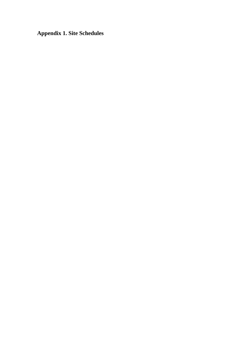**Appendix 1. Site Schedules**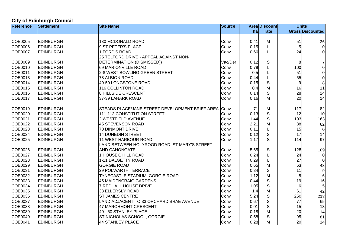# **City of Edinburgh Council**

| <b>Reference</b> | <b>Settlement</b> | <b>Site Name</b>                                     | <b>Source</b> |      | <b>Area Discount</b> |     | <b>Units</b>            |
|------------------|-------------------|------------------------------------------------------|---------------|------|----------------------|-----|-------------------------|
|                  |                   |                                                      |               | ha   | rate                 |     | <b>Gross Discounted</b> |
|                  |                   |                                                      |               |      |                      |     |                         |
| COE0005          | <b>EDINBURGH</b>  | 130 MCDONALD ROAD                                    | Conv          | 0.41 | м                    | 51  | 36                      |
| COE0006          | <b>EDINBURGH</b>  | 9 ST PETER'S PLACE                                   | Conv          | 0.15 |                      | 5   | $\overline{0}$          |
| COE0007          | <b>EDINBURGH</b>  | 1 FORD'S ROAD                                        | Conv          | 0.66 |                      | 24  | $\overline{0}$          |
|                  |                   | 25 TELFORD DRIVE - APPEAL AGAINST NON-               |               |      |                      |     |                         |
| COE0009          | <b>EDINBURGH</b>  | DETERMINATION (DISMISSED))                           | Vac/Der       | 0.12 | S                    | 8   | 7                       |
| COE0010          | <b>EDINBURGH</b>  | 69 MARIONVILLE ROAD                                  | Conv          | 0.79 |                      | 100 | $\overline{0}$          |
| COE0011          | <b>EDINBURGH</b>  | 2-8 WEST BOWLING GREEN STREET                        | Conv          | 0.5  |                      | 51  | $\mathsf 0$             |
| COE0013          | <b>EDINBURGH</b>  | 78 ALBION ROAD                                       | Conv          | 0.44 |                      | 55  | 0                       |
| COE0014          | <b>EDINBURGH</b>  | 40-50 LONGSTONE ROAD                                 | Conv          | 0.15 | S                    |     | $\bf 8$                 |
| COE0015          | <b>EDINBURGH</b>  | 116 COLLINTON ROAD                                   | Conv          | 0.4  | M                    | 16  | 11                      |
| COE0016          | <b>EDINBURGH</b>  | <b>8 HILLSIDE CRESCENT</b>                           | Conv          | 0.14 | S                    | 28  | 24                      |
| <b>COE0017</b>   | <b>EDINBURGH</b>  | 37-39 LANARK ROAD                                    | Conv          | 0.16 | M                    | 20  | 14                      |
| COE0019          | <b>EDINBURGH</b>  | STEADS PLACE/JANE STREET DEVELOPMENT BRIEF AREA Conv |               | 71   | м                    | 117 | 82                      |
| COE0020          | <b>EDINBURGH</b>  | 111-113 CONSTITUTION STREET                          | Conv          | 0.13 | S                    | 12  | 10                      |
| COE0021          | <b>EDINBURGH</b>  | 2 WESTFIELD AVENUE                                   | Conv          | 1.44 | S                    | 193 | 163                     |
| COE0022          | <b>EDINBURGH</b>  | 45 STEVENSON ROAD                                    | Conv          | 2.21 | M                    | 88  | 62                      |
| COE0023          | <b>EDINBURGH</b>  | 70 DINMONT DRIVE                                     | Conv          | 0.11 |                      | 15  | $\overline{0}$          |
| COE0024          | <b>EDINBURGH</b>  | <b>14 DUNEDIN STREET</b>                             | Conv          | 0.12 | S                    | 17  | 14                      |
| COE0025          | <b>EDINBURGH</b>  | 11 WEST HARBOUR ROAD                                 | Conv          | 1.17 | S                    | 114 | 97                      |
|                  |                   | LAND BETWEEN HOLYROOD ROAD, ST MARY'S STREET         |               |      |                      |     |                         |
| COE0026          | <b>EDINBURGH</b>  | AND CANONGATE                                        | Conv          | 5.65 | S                    | 128 | 109                     |
| COE0027          | <b>EDINBURGH</b>  | 1 HOUSE'O'HILL ROAD                                  | Conv          | 0.24 | L                    | 24  | $\overline{0}$          |
| COE0028          | <b>EDINBURGH</b>  | 1-11 DALGETTY ROAD                                   | Conv          | 0.29 |                      | 27  | $\overline{0}$          |
| COE0029          | <b>EDINBURGH</b>  | <b>GORGIE ROAD</b>                                   | Conv          | 0.65 | М                    | 63  | 43                      |
| COE0031          | <b>EDINBURGH</b>  | <b>29 POLWARTH TERRACE</b>                           | Conv          | 0.34 | S                    | 11  | $\boldsymbol{9}$        |
| COE0032          | <b>EDINBURGH</b>  | TYNECASTLE STADIUM, GORGIE ROAD                      | Conv          | 1.12 | M                    | 8   | $\,6$                   |
| COE0033          | <b>EDINBURGH</b>  | <b>45 MAIDENCRAIG GARDENS</b>                        | Conv          | 0.44 | S                    | 19  | 16                      |
| COE0034          | <b>EDINBURGH</b>  | <b>7 REDHALL HOUSE DRIVE</b>                         | Conv          | 1.05 | S                    | 6   | 5                       |
| COE0035          | <b>EDINBURGH</b>  | 33 ELLERSLY ROAD                                     | Conv          | 1.4  | M                    | 61  | 42                      |
| COE0036          | <b>EDINBURGH</b>  | <b>ST JAMES CENTRE</b>                               | Conv          | 5.24 | S                    | 250 | 213                     |
| COE0037          | <b>EDINBURGH</b>  | LAND ADJACENT TO 33 ORCHARD BRAE AVENUE              | Conv          | 0.67 | $\mathsf{S}$         | 77  | 65                      |
| COE0038          | <b>EDINBURGH</b>  | 47 MARCHMONT CRESCENT                                | Conv          | 0.01 | S                    | 15  | 13                      |
| COE0039          | <b>EDINBURGH</b>  | 40 - 50 STANLEY PLACE                                | Conv          | 0.18 | M                    | 20  | 14                      |
| COE0040          | <b>EDINBURGH</b>  | ST NICHOLAS SCHOOL, GORGIE                           | Conv          | 0.58 | S                    | 95  | 81                      |
| COE0041          | <b>EDINBURGH</b>  | 44 STANLEY PLACE                                     | Conv          | 0.28 | M                    | 20  | 14                      |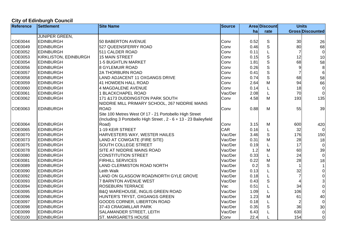# **City of Edinburgh Council**

| <b>Reference</b> | <b>Settlement</b>            | <b>Site Name</b>                                                 | <b>Source</b> |      | <b>Area Discount</b> | <b>Units</b> |                         |
|------------------|------------------------------|------------------------------------------------------------------|---------------|------|----------------------|--------------|-------------------------|
|                  |                              |                                                                  |               | ha   | rate                 |              | <b>Gross Discounted</b> |
|                  | <b>JUNIPER GREEN,</b>        |                                                                  |               |      |                      |              |                         |
| <b>COE0044</b>   | <b>EDINBURGH</b>             | 50 BABERTON AVENUE                                               | Conv          | 0.52 | $\mathbb S$          | 30           | 26                      |
| COE0049          | <b>EDINBURGH</b>             | 527 QUEENSFERRY ROAD                                             | Conv          | 0.46 | S                    | 80           | 68                      |
| COE0052          | <b>EDINBURGH</b>             | 511 CALDER ROAD                                                  | Conv          | 0.11 |                      |              | $\overline{0}$          |
| COE0053          | <b>KIRKLISTON, EDINBURGH</b> | 15 MAIN STREET                                                   | Conv          | 0.15 | S                    | 12           | 10                      |
| COE0054          | <b>EDINBURGH</b>             | <b>1-5 BUGHTLIN MARKET</b>                                       | Conv          | 1.81 | S                    | 68           | 58                      |
| COE0056          | <b>EDINBURGH</b>             | <b>8 GYLEMUIR ROAD</b>                                           | Conv          | 0.26 | $\mathsf{S}$         |              | $\bf 8$                 |
| COE0057          | <b>EDINBURGH</b>             | <b>2A THORBURN ROAD</b>                                          | Conv          | 0.41 | $\mathbf S$          |              | $\,6$                   |
| COE0058          | <b>EDINBURGH</b>             | <b>LAND ADJACENT 11 OXGANGS DRIVE</b>                            | Conv          | 0.74 | S                    | 68           | 58                      |
| COE0059          | <b>EDINBURGH</b>             | 41 HOWDEN HALL ROAD                                              | Conv          | 2.64 | М                    | 94           | 66                      |
| COE0060          | <b>EDINBURGH</b>             | 4 MAGDALENE AVENUE                                               | Conv          | 0.14 |                      | 18           | $\overline{0}$          |
| COE0061          | <b>EDINBURGH</b>             | 1 BLACKCHAPEL ROAD                                               | Vac/Der       | 2.08 |                      | 70           | $\overline{0}$          |
| COE0062          | <b>EDINBURGH</b>             | 171 & 173 DUDDINGSTON PARK SOUTH                                 | Conv          | 4.58 | м                    | 193          | 135                     |
|                  |                              | NIDDRIE MILL PRIMARY SCHOOL, 267 NIDDRIE MAINS                   |               |      |                      |              |                         |
| COE0063          | <b>EDINBURGH</b>             | <b>ROAD</b>                                                      | Conv          | 0.88 | м                    | 55           | 39                      |
|                  |                              | Site 100 Metres West Of 17 - 21 Portobello High Street           |               |      |                      |              |                         |
|                  |                              | (Including 3 Portobello High Street, 2 - 6 + 13 - 23 Baileyfield |               |      |                      |              |                         |
| COE0064          | <b>EDINBURGH</b>             | Road)                                                            | Conv          | 3.15 | М                    | 600          | 420                     |
| COE0065          | <b>EDINBURGH</b>             | 1-19 KEIR STREET                                                 | <b>CAR</b>    | 0.16 |                      | 32           | $\overline{0}$          |
| <b>COE0070</b>   | <b>EDINBURGH</b>             | HARVESTERS WAY, WESTER HAILES                                    | Vac/Der       | 3.46 | S                    | 176          | 150                     |
| COE0073          | <b>EDINBURGH</b>             | LAND AT COWGATE (FIRE SITE)                                      | Vac/Der       | 0.31 | М                    | 28           | 18                      |
| <b>COE0075</b>   | <b>EDINBURGH</b>             | SOUTH COLLEGE STREET                                             | Vac/Der       | 0.19 |                      | 17           | $\pmb{0}$               |
| <b>COE0078</b>   | <b>EDINBURGH</b>             | SITE AT NIDDRIE MAINS ROAD                                       | Vac/Der       | 1.2  | M                    | 60           | 39                      |
| COE0080          | <b>EDINBURGH</b>             | <b>CONSTITUTION STREET</b>                                       | Vac/Der       | 0.33 |                      | 24           | $\overline{0}$          |
| COE0081          | <b>EDINBURGH</b>             | <b>FIRHILL SERVICES</b>                                          | Vac/Der       | 0.22 | М                    | 28           | 18                      |
| COE0089          | <b>EDINBURGH</b>             | LAND CLERMISTON ROAD NORTH                                       | Vac/Der       | 0.2  | S                    |              |                         |
| COE0090          | <b>EDINBURGH</b>             | Leith Walk                                                       | Vac/Der       | 0.13 |                      | 32           | $\overline{0}$          |
| COE0092          | <b>EDINBURGH</b>             | LAND ON GLASGOW ROAD/NORTH GYLE GROVE                            | Vac/Der       | 0.18 |                      |              | $\mathsf 0$             |
| COE0093          | <b>EDINBURGH</b>             | <b>7 BARNTON AVENUE WEST</b>                                     | Vac/Der       | 0.43 | S                    |              | 3                       |
| <b>COE0094</b>   | <b>EDINBURGH</b>             | <b>ROSEBURN TERRACE</b>                                          | Vac           | 0.51 |                      | 34           | $\overline{0}$          |
| COE0095          | <b>EDINBURGH</b>             | <b>B&amp;Q WAREHOUSE, INGLIS GREEN ROAD</b>                      | Vac/Der       | 1.09 |                      | 106          | $\overline{0}$          |
| COE0096          | <b>EDINBURGH</b>             | HUNTER'S TRYST, OXGANGS GREEN                                    | Vac/Der       | 1.23 | М                    | 61           | 40                      |
| COE0097          | <b>EDINBURGH</b>             | GOODS CORNER, LIBERTON ROAD                                      | Vac/Der       | 0.18 |                      |              | $\overline{0}$          |
| <b>COE0098</b>   | <b>EDINBURGH</b>             | 37-43 CRAIGMILLAR PARK                                           | Vac/Der       | 0.35 | S                    | 36           | 30                      |
| COE0099          | <b>EDINBURGH</b>             | SALAMANDER STREET, LEITH                                         | Vac/Der       | 6.43 |                      | 630          | $\overline{0}$          |
| COE0100          | <b>EDINBURGH</b>             | <b>ST. MARGARETS HOUSE</b>                                       | Conv          | 22.4 |                      | 154          | $\overline{0}$          |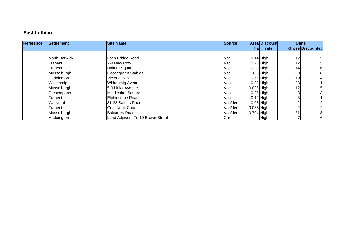#### **East Lothian**

| <b>Reference</b> | Settlement    | <b>Site Name</b>                 | <b>Source</b> |              | <b>Areal Discount</b> |                 | <b>Units</b>            |
|------------------|---------------|----------------------------------|---------------|--------------|-----------------------|-----------------|-------------------------|
|                  |               |                                  |               | hal          | rate                  |                 | <b>Gross Discounted</b> |
|                  |               |                                  |               |              |                       |                 |                         |
|                  | North Berwick | Loch Bridge Road                 | Vac           |              | $0.14$ High           | 12              |                         |
|                  | Tranent       | 2-8 New Row                      | Vac           |              | $0.25$ High           | 12              | 5                       |
|                  | Tranent       | <b>Balfour Square</b>            | Vac           |              | $0.29$ High           | 14 <sub>1</sub> | 6                       |
|                  | Musselburgh   | Goosegreen Stables               | Vac           |              | $0.3$ High            | 20              |                         |
|                  | Haddington    | Victoria Park                    | Vac           |              | $0.61$ High           | 10              |                         |
|                  | Whitecraig    | <b>Whitecraig Avenue</b>         | Vac           |              | $0.88$ High           | 28              | 11                      |
|                  | Musselburgh   | <b>15-9 Links Avenue</b>         | Vac           | $0.096$ High |                       | 12              | 5                       |
|                  | Prestonpans   | <b>Middleshot Square</b>         | Vac           |              | $0.25$ High           |                 |                         |
|                  | Tranent       | <b>Elphinstone Road</b>          | Vac           |              | $0.12$ High           |                 |                         |
|                  | Wallyford     | 31-33 Salters Road               | Vac/der       |              | $0.08$ High           |                 |                         |
|                  | Tranent       | <b>Coal Neuk Court</b>           | Vac/der       | $0.088$ High |                       |                 |                         |
|                  | Musselburgh   | <b>Balcarres Road</b>            | Vac/der       | $0.704$ High |                       | 21              | 18                      |
|                  | Haddington    | Land Adjacent To 10 Brown Street | Car           |              | High                  |                 | 6                       |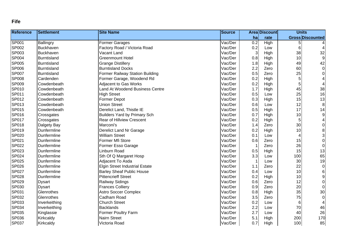#### **Fife**

| <b>Reference</b> | <b>Settlement</b>  | <b>Site Name</b>                       | <b>Source</b> |              | <b>Area Discount</b> | <b>Units</b>            |                         |
|------------------|--------------------|----------------------------------------|---------------|--------------|----------------------|-------------------------|-------------------------|
|                  |                    |                                        |               | ha           | rate                 | <b>Gross Discounted</b> |                         |
| SP001            | Ballingry          | Former Garages                         | Vac/Der       | 0.2          | High                 | 5                       |                         |
| SP002            | <b>Buckhaven</b>   | Factory Road / Victoria Road           | Vac/Der       | 0.2          | Low                  | 6                       |                         |
| SP003            | Buckhaven          | Vacant Land                            | Vac/Der       | $\mathbf{3}$ | High                 | 38                      | 32                      |
| SP004            | Burntisland        | <b>Greenmount Hotel</b>                | Vac/Der       | 0.8          | High                 | 10                      | 9                       |
| <b>SP005</b>     | <b>Burntisland</b> | <b>Grange Distillery</b>               | Vac/Der       | 1.8          | High                 | 49                      | 42                      |
| SP006            | Burntisland        | <b>Burntisland Docks</b>               | Vac/Der       | 2.2          | Zero                 | 60                      | $\overline{0}$          |
| <b>SP007</b>     | Burntisland        | <b>Former Railway Station Building</b> | Vac/Der       | 0.5          | Zero                 | 25                      | $\overline{0}$          |
| <b>SP008</b>     | Cardenden          | Former Garage, Woodend Rd              | Vac/Der       | 0.2          | High                 | 5                       |                         |
| SP009            | Cowdenbeath        | <b>Adjacent to Gas Works</b>           | Vac/Der       | 0.2          | High                 | 5                       |                         |
| SP010            | Cowdenbeath        | Land At Woodend Business Centre        | Vac/Der       | 1.7          | High                 | 45                      | 38                      |
| SP011            | Cowdenbeath        | <b>High Street</b>                     | Vac/Der       | 0.5          | Low                  | 25                      | 16                      |
| SP012            | Cowdenbeath        | <b>Former Depot</b>                    | Vac/Der       | 0.3          | High                 | 15                      | 13                      |
| SP013            | Cowdenbeath        | <b>Union Street</b>                    | Vac/Der       | 0.6          | Low                  | 12                      | 8 <sup>8</sup>          |
| SP015            | Cowdenbeath        | Derelict Land, Thistle IE              | Vac/Der       | 0.5          | High                 | 17                      | 14                      |
| SP016            | Crossgates         | <b>Builders Yard by Primary Sch</b>    | Vac/Der       | 0.7          | High                 | 10                      | 9                       |
| <b>SP017</b>     | Crossgates         | <b>Rear of Hillview Crescent</b>       | Vac/Der       | 0.2          | High                 | 5                       | $\overline{\mathbf{r}}$ |
| SP018            | Dalgety Bay        | Marconi's                              | Vac/Der       | 1.4          | Zero                 | 30                      | $\overline{0}$          |
| SP019            | Dunfermline        | Derelict Land Nr Garage                | Vac/Der       | 0.2          | High                 | 10                      | 8 <sup>1</sup>          |
| SP020            | Dunfermline        | <b>William Street</b>                  | Vac/Der       | 0.1          | Low                  | $\overline{4}$          | $\overline{\mathbf{3}}$ |
| SP021            | Dunfermline        | Former Mfi Store                       | Vac/Der       | 0.6          | Zero                 | 15                      | $\overline{0}$          |
| SP022            | Dunfermline        | Former Esso Garage                     | Vac/Der       | 1            | Zero                 | 26                      | $\overline{0}$          |
| SP023            | Dunfermline        | Linburn Road                           | Vac/Der       | 0.5          | High                 | 15                      | 13                      |
| SP024            | Dunfermline        | Sth Of Q Margaret Hosp                 | Vac/Der       | 3.3          | Low                  | 100                     | 65                      |
| SP025            | Dunfermline        | Adjacent To Asda                       | Vac/Der       |              | Low                  | 30                      | 19                      |
| SP026            | Dunfermline        | <b>Elgin Street Industrial Estate</b>  | Vac/Der       | 1.1          | Zero                 | 22                      | $\overline{0}$          |
| SP027            | Dunfermline        | <b>Barley Sheaf Public House</b>       | Vac/Der       | 0.4          | Low                  | 10                      | $6\vert$                |
| SP028            | Dunfermline        | <b>Pittencrieff Street</b>             | Vac/Der       | 0.2          | High                 | 10                      | 9 <sup>1</sup>          |
| SP029            | <b>Dysart</b>      | Railway Sidings                        | Vac/Der       | 0.6          | Zero                 | 12                      | $\overline{0}$          |
| SP030            | <b>Dysart</b>      | <b>Frances Colliery</b>                | Vac/Der       | 0.9          | Zero                 | 20                      | $\overline{0}$          |
| SP031            | Glenrothes         | <b>Astro Soccer Complex</b>            | Vac/Der       | 0.8          | High                 | 35                      | 30                      |
| SP032            | Glenrothes         | Cadham Road                            | Vac/Der       | 3.5          | Zero                 | 75                      | $\overline{0}$          |
| SP033            | Inverkeithing      | <b>Church Street</b>                   | Vac/Der       | 0.2          | Low                  | 6                       |                         |
| SP034            | Inverkeithing      | <b>Backlands</b>                       | Vac/Der       | 2.2          | Low                  | 70                      | 46                      |
| SP035            | Kinglassie         | <b>Former Poultry Farm</b>             | Vac/Der       | 2.7          | Low                  | 40                      | 26                      |
| SP036            | Kirkcaldy          | <b>Nairn Street</b>                    | Vac/Der       | 5.1          | High                 | 200                     | 170                     |
| <b>SP037</b>     | Kirkcaldy          | Victoria Road                          | Vac/Der       | 0.7          | High                 | 100                     | 85                      |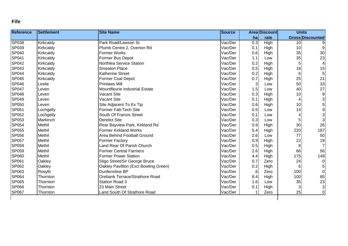#### **Fife**

| <b>Reference</b> | <b>Settlement</b> | <b>Site Name</b>                      | <b>Source</b> |                  | <b>Area Discount</b> | <b>Units</b>   |                                       |
|------------------|-------------------|---------------------------------------|---------------|------------------|----------------------|----------------|---------------------------------------|
|                  |                   |                                       |               | ha               | rate                 |                | <b>Gross Discounted</b>               |
| <b>SP038</b>     | Kirkcaldy         | Park Road/Lawson St                   | Vac/Der       | $\overline{0.3}$ | <b>High</b>          | 10             |                                       |
| SP039            | Kirkcaldy         | Plumb Centre 2, Overton Rd            | Vac/Der       | 0.1              | High                 | 10             | 9                                     |
| <b>SP040</b>     | Kirkcaldy         | <b>Former Works</b>                   | Vac/Der       | 0.6              | High                 | 35             | 30 <sup>°</sup>                       |
| <b>SP041</b>     | Kirkcaldy         | Former Bus Depot                      | Vac/Der       | 1.1              | Low                  | 35             | 23                                    |
| <b>SP042</b>     | Kirkcaldy         | Northlea Service Station              | Vac/Der       | 0.2              | High                 | 5              | $\overline{4}$                        |
| <b>SP043</b>     | Kirkcaldy         | <b>Smeaton Place</b>                  | Vac/Der       | 0.5              | High                 | 18             | 15                                    |
| <b>SP044</b>     | Kirkcaldy         | Katherine Street                      | Vac/Der       | 0.2              | High                 | 6              | $\overline{5}$                        |
| <b>SP045</b>     | Kirkcaldy         | <b>Former Coal Depot</b>              | Vac/Der       | 0.7              | High                 | 25             | 21                                    |
| <b>SP046</b>     | Leslie            | <b>Prinlaws Mill</b>                  | Vac/Der       | 3                | Low                  | 50             | 33                                    |
| <b>SP047</b>     | Leven             | Mountfleurie Industrial Estate        | Vac/Der       | 1.5              | Low                  | 40             | 27                                    |
| <b>SP048</b>     | Leven             | <b>Vacant Site</b>                    | Vac/Der       | 0.3              | High                 | 10             | 9                                     |
| <b>SP049</b>     | Leven             | <b>Vacant Site</b>                    | Vac/Der       | 0.1              | High                 | $\overline{4}$ | 3                                     |
| SP050            | Leven             | Site Adjacent To Ex Tip               | Vac/Der       | 0.6              | High                 | 10             | $\overline{9}$                        |
| SP051            | Lochgelly         | Former Fab-Tech Site                  | Vac/Der       | 0.5              | Low                  | 14             | $\begin{array}{c} 9 \\ 3 \end{array}$ |
| SP052            | Lochgelly         | South Of Francis Street               | Vac/Der       | 0.1              | Low                  | $\overline{4}$ |                                       |
| SP053            | Markinch          | Derelict Site                         | Vac/Der       | 0.3              | Low                  | 5              | 3                                     |
| SP054            | Methil            | Rear Bayview Park, Kirkland Rd        | Vac/Der       | 0.9              | High                 | 30             | 26                                    |
| SP055            | Methil            | <b>Former Kirkland Works</b>          | Vac/Der       | 5.4              | High                 | 220            | 187                                   |
| SP056            | Methil            | Area Behind Football Ground           | Vac/Der       | 2.6              | Low                  | 77             | 50                                    |
| <b>SP057</b>     | Methil            | <b>Former Factory</b>                 | Vac/Der       | 0.9              | High                 | 22             | 19                                    |
| SP058            | Methil            | Land Rear Of Parish Church            | Vac/Der       | 0.5              | High                 | 8              | $\overline{7}$                        |
| SP059            | <b>Methil</b>     | <b>Former Central Farmers</b>         | Vac/Der       | 2.6              | High                 | 66             | 56                                    |
| SP060            | Methil            | <b>Former Power Station</b>           | Vac/Der       | 4.4              | High                 | 175            | 149                                   |
| <b>SP061</b>     | Oakley            | Sligo Street/Sir George Bruce         | Vac/Der       | 0.7              | Zero                 | 24             | $\overline{0}$                        |
| SP062            | Oakley            | Oakley Pavillion (Excl Bowling Green) | Vac/Der       | 0.2              | High                 | $6\phantom{1}$ | 5                                     |
| SP063            | Rosyth            | Dunfermline BP                        | Vac/Der       | 6                | Zero                 | 100            | $\overline{0}$                        |
| <b>SP064</b>     | Thornton          | Orebank Terrace/Strathore Road        | Vac/Der       | 8.4              | High                 | 100            | 85                                    |
| SP065            | Thornton          | <b>Station Road 3</b>                 | Vac/Der       | 1.6              | Low                  | 35             | 23                                    |
| <b>SP066</b>     | Thornton          | 23 Main Street                        | Vac/Der       | 0.1              | High                 | 3              | 3                                     |
| <b>SP067</b>     | Thornton          | Land South Of Strathore Road          | Vac/Der       |                  | Zero                 | 25             | $\overline{0}$                        |
|                  |                   |                                       |               |                  |                      |                |                                       |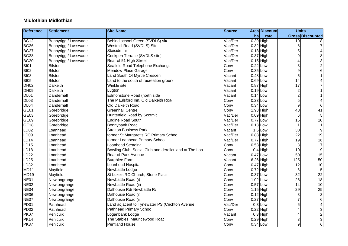#### **Midlothian Midlothian**

| <b>Reference</b> | <b>Settlement</b>    | <b>Site Name</b>                                       | <b>Source</b> |    | <b>Area Discount</b> | <b>Units</b>            |                         |
|------------------|----------------------|--------------------------------------------------------|---------------|----|----------------------|-------------------------|-------------------------|
|                  |                      |                                                        |               | ha | rate                 | <b>Gross Discounted</b> |                         |
| <b>BG12</b>      | Bonnyrigg / Lasswade | Behind school Green (SVDLS) site                       | Vac/Der       |    | 0.39 High            | 10                      |                         |
| <b>BG26</b>      | Bonnyrigg / Lasswade | Westmill Road (SVDLS) Site                             | Vac/Der       |    | $0.32$ High          | 8                       |                         |
| <b>BG27</b>      | Bonnyrigg / Lasswade | Staiside Inn                                           | Vac/Der       |    | $0.18$ High          | 5                       |                         |
| <b>BG28</b>      | Bonnyrigg / Lasswade | Cockpen Terrace (SVDLS site)                           | Vac/Der       |    | $0.37$ High          | 9                       | 8                       |
| <b>BG30</b>      | Bonnyrigg / Lasswade | Rear of 51 High Street                                 | Vac/Der       |    | $0.15$ High          | 4                       | 3                       |
| <b>BI01</b>      | <b>Bilston</b>       | Seafield Road Telephone Exchange                       | Conv          |    | $0.22$ Low           | 3                       | $\overline{\mathbf{c}}$ |
| <b>BI02</b>      | <b>Bilston</b>       | <b>Meadow Place Garage</b>                             | Conv          |    | 0.35 Low             | 9                       | 6                       |
| <b>BI03</b>      | <b>Bilston</b>       | Land South Of Myrtle Crescen                           | Vacant        |    | $0.48$ Low           | 5                       |                         |
| <b>BI05</b>      | <b>Bilston</b>       | Land to the south of recreation ground                 | Vacant        |    | $0.69$ Low           | 14                      |                         |
| DH <sub>02</sub> | <b>Dalkeith</b>      | Winkle site                                            | Vacant        |    | $0.87$ High          | 17                      |                         |
| <b>DH09</b>      | <b>Dalkeith</b>      | Lugton                                                 | Vacant        |    | $0.19$ Low           | $\overline{\mathbf{c}}$ |                         |
| DL01             | Danderhall           | Edmonstone Road (north side)                           | Vacant        |    | $0.14$ Low           | $\overline{c}$          |                         |
| DL03             | Danderhall           | The Maulsford Inn, Old Dalkeith Road                   | Conv          |    | $0.23$ Low           | 5                       |                         |
| DL04             | Danderhall           | Old Dalkeith Road                                      | Conv          |    | $0.34$ Low           | 9                       | 6                       |
| GE01             | Gorebridge           | <b>Greenhall Centre</b>                                | Conv          |    | $1.93$ High          | 48                      | 41                      |
| GE03             | Gorebridge           | Hunterfield Road by Scotmic                            | Vac/Der       |    | $0.09$ High          | 6                       | 5                       |
| GE <sub>09</sub> | Gorebridge           | <b>Engine Road South</b>                               | Vac/Der       |    | $0.77$ Low           | 15                      | 10                      |
| GE <sub>18</sub> | Gorebridge           | <b>Bonnybank Road</b>                                  | Vac/Der       |    | $0.13$ Low           |                         |                         |
| LD <sub>02</sub> | Loanhead             | <b>Straiton Business Park</b>                          | Vacant        |    | $1.5$ Low            | 30                      | $\boldsymbol{9}$        |
| LD <sub>09</sub> | Loanhead             | former St Margaret's RC Primary Schoo                  | Vac/Der       |    | $0.88$ High          | 22                      | 19                      |
| <b>LD14</b>      | Loanhead             | former Loanhead Primary Schoo                          | Vac/Der       |    | $0.77$ High          | 19                      | 16                      |
| LD15             | Loanhead             | Loanhead Steading                                      | Conv          |    | $0.53$ High          | 8                       | $\overline{7}$          |
| LD <sub>18</sub> | Loanhead             | Bowling Club, Social Club and derelict land at The Loa | Conv          |    | $0.4$ High           | 10                      | 9                       |
| LD22             | Loanhead             | Rear of Park Avenue                                    | Vacant        |    | $0.47$ Low           | 50                      | 15                      |
| LD <sub>25</sub> | Loanhead             | <b>Burghlee Farm</b>                                   | Vacant        |    | 6.26 High            | 125                     | 50                      |
| LD <sub>32</sub> | Loanhead             | Loanhead Hospita                                       | Conv          |    | $0.47$ High          | 12                      | 10                      |
| MD <sub>11</sub> | Mayfield             | Newbattle Lodge                                        | Conv          |    | $0.72$ High          | 6                       | 5                       |
| <b>MD19</b>      | Mayfield             | St Luke's RC Church, Stone Place                       | Conv          |    | $0.37$ Low           | 32                      | 22                      |
| <b>NE01</b>      | Newtongrange         | Newbattle Road (i)                                     | Conv          |    | 1.02 Low             | 26                      | 18                      |
| <b>NE02</b>      | Newtongrange         | Newbattle Road (ii)                                    | Conv          |    | $0.57$ Low           | 14                      | 10                      |
| NE04             | Newtongrange         | Dalhousie Rd/ Newbattle Rc                             | Conv          |    | $1.15$ High          | 29                      | 25                      |
| <b>NE06</b>      | Newtongrange         | Dalhousie Road (i)                                     | Conv          |    | $0.12$ High          | 3                       | 3                       |
| <b>NE07</b>      | Newtongrange         | Dalhousie Road (ii)                                    | Conv          |    | $0.27$ High          |                         | 6                       |
| PD <sub>01</sub> | Pathhead             | Land adjacent to Tynewater PS (Crichton Avenue         | Vac/Der       |    | $0.3$ Low            | 6                       |                         |
| PD <sub>02</sub> | Pathhead             | Pathhead Primary Schoo                                 | Conv          |    | $0.22$ High          | 4                       | 3                       |
| <b>PK07</b>      | Penicuik             | Loganbank Lodge                                        | Vacant        |    | $0.3$ High           |                         | $\frac{2}{3}$           |
| PK14             | Penicuik             | The Stables, Mauricewood Roac                          | Conv          |    | $0.29$ High          | 3                       |                         |
| <b>PK37</b>      | Penicuik             | <b>Pentland House</b>                                  | Conv          |    | $0.34$ Low           | 9                       | 6                       |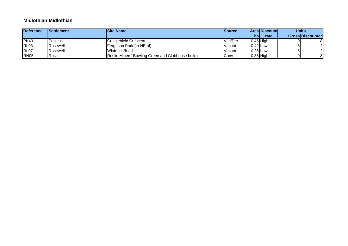#### **Midlothian Midlothian**

| <b>Reference</b> | <b>Settlement</b> | <b>Site Name</b>                                   | lSource |            | <b>Areal Discountl</b> | <b>Units</b> |                         |
|------------------|-------------------|----------------------------------------------------|---------|------------|------------------------|--------------|-------------------------|
|                  |                   |                                                    |         | hal        | rate                   |              | <b>Gross Discounted</b> |
| PK43             | <b>Penicuik</b>   | Craigiebield Crescen                               | Vac/Der |            | $0.45$ High            |              |                         |
| <b>RL03</b>      | <b>IRosewell</b>  | Ferguson Park (to NE of)                           | Vacant  | $0.42$ Low |                        |              |                         |
| RL07             | <b>IRosewell</b>  | Whitehill Road                                     | Vacant  | $0.26$ Low |                        |              |                         |
| <b>RN05</b>      | Roslin            | Roslin Miners' Bowling Green and Clubhouse buildin | Conv    |            | $0.35$ High            |              | 81                      |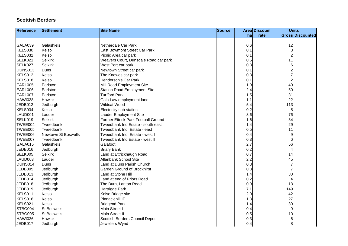| <b>Reference</b> | Settlement                 | <b>Site Name</b>                      | <b>Source</b> |     | <b>Area Discount</b> | <b>Units</b>            |
|------------------|----------------------------|---------------------------------------|---------------|-----|----------------------|-------------------------|
|                  |                            |                                       |               | hal | rate                 | <b>Gross Discounted</b> |
|                  |                            |                                       |               |     |                      |                         |
| GALA039          | Galashiels                 | Netherdale Car Park                   |               | 0.6 |                      | 12                      |
| KELS030          | Kelso                      | <b>East Bowmont Street Car Park</b>   |               | 0.1 |                      | 3                       |
| KELS032          | Kelso                      | Picnic Area car park                  |               | 0.1 |                      | $\overline{c}$          |
| SELK021          | <b>Selkirk</b>             | Weavers Court, Dunsdale Road car park |               | 0.5 |                      | 11                      |
| SELK027          | <b>Selkirk</b>             | West Port car park                    |               | 0.3 |                      | $\,6\,$                 |
| DUNS013          | Duns                       | Newtown Street car park               |               | 0.1 |                      | $\overline{\mathbf{c}}$ |
| KELS012          | Kelso                      | The Knowes car park                   |               | 0.3 |                      | 7                       |
| KELS018          | Kelso                      | Henderson's Car Park                  |               | 0.1 |                      | $\overline{\mathbf{c}}$ |
| EARL005          | Earlston                   | Mill Road Employment Site             |               | 1.9 |                      | 40                      |
| EARL006          | Earlston                   | <b>Station Road Employment Site</b>   |               | 2.4 |                      | 50                      |
| EARL007          | Earlston                   | <b>Turfford Park</b>                  |               | 1.5 |                      | 31                      |
| HAWI038          | Hawick                     | Gala Law employment land              |               | 1.1 |                      | 22                      |
| JEDB012          | Jedburgh                   | Wildcat Wood                          |               | 5.4 |                      | 113                     |
| KELS034          | Kelso                      | Electricity sub station               |               | 0.2 |                      | $\sqrt{5}$              |
| LAUD001          | Lauder                     | Lauder Employment Site                |               | 3.6 |                      | 76                      |
| SELK019          | <b>Selkirk</b>             | Former Ettrick Park Football Ground   |               | 1.6 |                      | 34                      |
| TWEE004          | Tweedbank                  | Tweedbank Ind Estate - south east     |               | 1.4 |                      | 29                      |
| TWEE005          | Tweedbank                  | Tweedbank Ind. Estate - east          |               | 0.5 |                      | 11                      |
| TWEE006          | <b>Newtown St Boswells</b> | Tweedbank Ind. Estate - west I        |               | 0.4 |                      | 9                       |
| TWEE007          | Tweedbank                  | Tweedbank Ind Estate - west II        |               | 0.3 |                      | 6                       |
| GALA015          | Galashiels                 | Galafoot                              |               | 2.7 |                      | 56                      |
| JEDB016          | Jedburgh                   | <b>Briary Bank</b>                    |               | 0.2 |                      | 4                       |
| SELK005          | <b>Selkirk</b>             | Land at Ettrickhaugh Road             |               | 0.7 |                      | 14                      |
| LAUD003          | Lauder                     | Allanbank School Site                 |               | 2.2 |                      | 45                      |
| DUNS014          | Duns                       | Land at Duns Parish Church            |               | 0.3 |                      | $\overline{7}$          |
| JEDB005          | Jedburgh                   | <b>Garden Ground of Brockhirst</b>    |               | 0.3 |                      | $\overline{7}$          |
| JEDB013          | Jedburgh                   | Land at Stone Hill                    |               | 1.4 |                      | 30                      |
| JEDB014          | Jedburgh                   | Land at end of Priors Road            |               | 0.2 |                      | 4                       |
| JEDB018          | Jedburgh                   | The Burn, Lanton Road                 |               | 0.9 |                      | 18                      |
| JEDB019          | Jedburgh                   | Hartrigge Park                        |               | 7.1 |                      | 149                     |
| KELS011          | Kelso                      | Kelso Bridge site                     |               | 2.0 |                      | 42                      |
| KELS016          | Kelso                      | Pinnaclehill IE                       |               | 1.3 |                      | 27                      |
| KELS021          | Kelso                      | <b>Bridgend Park</b>                  |               | 1.4 |                      | 30                      |
| STBO004          | <b>St Boswells</b>         | Main Street I                         |               | 0.4 |                      | 9                       |
| STBO005          | <b>St Boswells</b>         | <b>Main Street II</b>                 |               | 0.5 |                      | 10                      |
| HAWI026          | Hawick                     | Scottish Borders Council Depot        |               | 0.3 |                      | 6                       |
| JEDB017          | Jedburgh                   | Jewellers Wynd                        |               | 0.4 |                      | 8                       |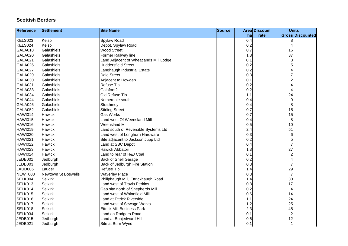| <b>Reference</b> | <b>Settlement</b>          | <b>Site Name</b>                       | Source |     | Area Discount | <b>Units</b>            |
|------------------|----------------------------|----------------------------------------|--------|-----|---------------|-------------------------|
|                  |                            |                                        |        | ha  | rate          | <b>Gross Discounted</b> |
| KELS023          | Kelso                      | Spylaw Road                            |        | 0.4 |               | 8                       |
| KELS024          | Kelso                      | Depot, Spylaw Road                     |        | 0.2 |               | 4                       |
| GALA018          | Galashiels                 | <b>Wood Street</b>                     |        | 0.7 |               | 16                      |
| GALA020          | Galashiels                 | Former Railway line                    |        | 1.8 |               | 37                      |
| GALA021          | Galashiels                 | Land Adjacent ot Wheatlands Mill Lodge |        | 0.1 |               | 3                       |
| GALA026          | Galashiels                 | <b>Huddersfield Street</b>             |        | 0.2 |               | 5                       |
| GALA027          | Galashiels                 | Langhaugh Industrial Estate            |        | 0.2 |               |                         |
| GALA029          | Galashiels                 | <b>Dale Street</b>                     |        | 0.3 |               | 7                       |
| GALA030          | Galashiels                 | Adjacent to Howden                     |        | 0.1 |               | $\overline{\mathbf{c}}$ |
| GALA031          | Galashiels                 | <b>Refuse Tip</b>                      |        | 0.2 |               | 4                       |
| GALA033          | Galashiels                 | Galafoot2                              |        | 0.2 |               | 4                       |
| GALA034          | Galashiels                 | Old Refuse Tip                         |        | 1.1 |               | 24                      |
| GALA044          | Galashiels                 | Netherdale south                       |        | 0.4 |               | $\boldsymbol{9}$        |
| GALA046          | Galashiels                 | Strathmoy                              |        | 0.4 |               | 8                       |
| GALA052          | Galashiels                 | <b>Stirling Street</b>                 |        | 0.7 |               | 15                      |
| HAWI014          | Hawick                     | <b>Gas Works</b>                       |        | 0.7 |               | 15                      |
| HAWI015          | <b>Hawick</b>              | Land west Of Weensland Mill            |        | 0.4 |               | 8                       |
| HAWI016          | <b>Hawick</b>              | <b>Weensland Mill</b>                  |        | 0.5 |               | 10                      |
| HAWI019          | Hawick                     | Land south of Reversible Systems Ltd   |        | 2.4 |               | 51                      |
| HAWI020          | <b>Hawick</b>              | Land west of Longhorn Hardware         |        | 0.3 |               | $6\phantom{1}6$         |
| HAWI021          | Hawick                     | Site adjacent to Jackson Jupp Ltd      |        | 0.2 |               | 5                       |
| HAWI022          | Hawick                     | Land at SBC Depot                      |        | 0.4 |               | $\overline{7}$          |
| HAWI023          | Hawick                     | <b>Hawick Abbatoir</b>                 |        | 1.3 |               | 27                      |
| HAWI024          | <b>Hawick</b>              | Land to rear of H&J Coal               |        | 0.1 |               | $\overline{\mathbf{c}}$ |
| JEDB001          | Jedburgh                   | <b>Back of Shell Garage</b>            |        | 0.2 |               | 4                       |
| JEDB003          | Jedburgh                   | Back of Jedburgh Fire Station          |        | 0.3 |               | $\overline{7}$          |
| LAUD006          | Lauder                     | <b>Refuse Tip</b>                      |        | 1.4 |               | 29                      |
| NEWT008          | <b>Newtown St Boswells</b> | <b>Waverley Place</b>                  |        | 0.3 |               | $\overline{7}$          |
| SELK004          | <b>Selkirk</b>             | Philiphaugh Mill, Ettrickhaugh Road    |        | 1.4 |               | 30                      |
| SELK013          | <b>Selkirk</b>             | Land west of Travis Perkins            |        | 0.8 |               | 17                      |
| SELK014          | <b>Selkirk</b>             | Gap site north of Shepherds Mill       |        | 0.2 |               | 4                       |
| SELK015          | <b>Selkirk</b>             | Land west of Whinefield Mill           |        | 0.6 |               | 14                      |
| SELK016          | <b>Selkirk</b>             | Land at Ettrick Riverside              |        | 1.1 |               | 24                      |
| SELK017          | <b>Selkirk</b>             | Land west of Sewage Works              |        | 1.2 |               | 25                      |
| SELK018          | <b>Selkirk</b>             | <b>Ettrick Mill Business Park</b>      |        | 2.3 |               | 48                      |
| SELK034          | <b>Selkirk</b>             | Land on Rodgers Road                   |        | 0.1 |               | $\overline{c}$          |
| JEDB015          | Jedburgh                   | Land at Bonjedward Hill                |        | 0.6 |               | 12                      |
| JEDB021          | Jedburgh                   | Site at Burn Wynd                      |        | 0.1 |               | $\mathbf{1}$            |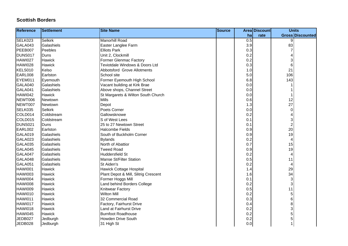| <b>Reference</b> | Settlement     | <b>Site Name</b>                     | Source |                  | Area Discount | <b>Units</b>              |
|------------------|----------------|--------------------------------------|--------|------------------|---------------|---------------------------|
|                  |                |                                      |        | ha               | rate          | <b>Gross Discounted</b>   |
| SELK023          | <b>Selkirk</b> | <b>Manorhill Road</b>                |        | $\overline{0.5}$ |               | 9                         |
| GALA043          | Galashiels     | Easter Langlee Farm                  |        | 3.9              |               | 83                        |
| PEEB007          | Peebles        | <b>Elliots Park</b>                  |        | 0.3              |               |                           |
| DUNS017          | Duns           | Unit 2, Clockmill                    |        | 0.2              |               | 4                         |
| HAWI027          | Hawick         | Former Glenmac Factory               |        | 0.2              |               | 3                         |
| HAWI028          | Hawick         | Teviotdale Windows & Doors Ltd       |        | 0.3              |               | 6                         |
| KELS010          | Kelso          | Abbotsford Grove Allotments          |        | 1.0              |               | 21                        |
| EARL008          | Earlston       | School site                          |        | 5.0              |               | 106                       |
| EYEM011          | Eyemouth       | Former Eyemouth High School          |        | 6.8              |               | 143                       |
| GALA040          | Galashiels     | Vacant building at Kirk Brae         |        | 0.0              |               |                           |
| GALA041          | Galashiels     | Above shops, Channel Street          |        | 0.0              |               |                           |
| HAWI042          | Hawick         | St Margarets & Wilton South Church   |        | 0.0              |               | 1                         |
| NEWT006          | Newtown        | <b>Mills</b>                         |        | 0.6              |               | 12                        |
| NEWT007          | Newtown        | Depot                                |        | 1.3              |               | 27                        |
| SELK035          | <b>Selkirk</b> | Poets Corner                         |        | 0.0              |               | 0                         |
| COLD014          | Coldstream     | Gallowsknowe                         |        | 0.2              |               | 4                         |
| COLD015          | Coldstream     | S of West Lees                       |        | 0.1              |               | 3                         |
| DUNS021          | <b>Duns</b>    | 25 to 27 Newtown Street              |        | 0.1              |               | $\overline{c}$            |
| EARL002          | Earlston       | <b>Halcombe Fields</b>               |        | 0.9              |               | 20                        |
| GALA019          | Galashiels     | South of Buckholm Corner             |        | 0.9              |               | 19                        |
| GALA023          | Galashiels     | <b>Bylands</b>                       |        | 0.2              |               | 4                         |
| GALA035          | Galashiels     | North of Abattior                    |        | 0.7              |               | 15                        |
| GALA045          | Galashiels     | <b>Tweed Road</b>                    |        | 0.9              |               | 19                        |
| GALA047          | Galashiels     | <b>Huddersfield St</b>               |        | 0.2              |               | 4                         |
| GALA048          | Galashiels     | Manse St/Filter Station              |        | 0.5              |               | 11                        |
| GALA051          | Galashiels     | St Aiden's                           |        | 0.2              |               | 4                         |
| HAWI001          | Hawick         | <b>Hawick Cottage Hospital</b>       |        | 1.4              |               | 29                        |
| HAWI003          | <b>Hawick</b>  | Plant Depot & Mill, Slitrig Crescent |        | 1.6              |               | 34                        |
| HAWI004          | Hawick         | Former Hoggs Mill                    |        | 0.1              |               | $\ensuremath{\mathsf{3}}$ |
| HAWI008          | Hawick         | Land behind Borders College          |        | 0.2              |               | $\ensuremath{\mathsf{3}}$ |
| HAWI009          | Hawick         | Knitwear Factory                     |        | 0.5              |               | 11                        |
| HAWI010          | Hawick         | <b>Wilton Mill</b>                   |        | 0.2              |               | $\mathbf 5$               |
| HAWI011          | Hawick         | 32 Commercial Road                   |        | 0.3              |               | $\,6$                     |
| HAWI017          | Hawick         | Factory, Fairhurst Drive             |        | 0.4              |               | 8                         |
| HAWI018          | Hawick         | Land at Fairhurst Drive              |        | 0.2              |               | 3                         |
| HAWI045          | <b>Hawick</b>  | <b>Burnfoot Roadhouse</b>            |        | 0.2              |               | 5                         |
| JEDB027          | Jedburgh       | <b>Howden Drive South</b>            |        | 0.2              |               | 5                         |
| JEDB028          | Jedburgh       | 31 High St                           |        | 0.0              |               |                           |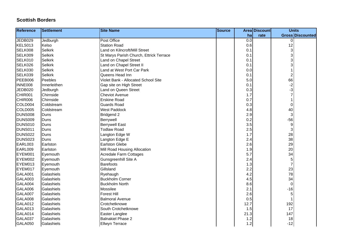| <b>Reference</b> | <b>Settlement</b> | <b>Site Name</b>                        | <b>Source</b> |                  | <b>Area Discount</b> | <b>Units</b>              |
|------------------|-------------------|-----------------------------------------|---------------|------------------|----------------------|---------------------------|
|                  |                   |                                         |               | hal              | rate                 | <b>Gross Discounted</b>   |
| JEDB029          | Jedburgh          | Post Office                             |               | $\overline{0.0}$ |                      | $\Omega$                  |
| KELS013          | Kelso             | <b>Station Road</b>                     |               | 0.6              |                      | 12                        |
| SELK008          | <b>Selkirk</b>    | Land on Kilncroft/Mill Street           |               | 0.1              |                      | 3                         |
| SELK009          | <b>Selkirk</b>    | St Marys Parish Church, Ettrick Terrace |               | 0.1              |                      | 3                         |
| SELK010          | <b>Selkirk</b>    | Land on Chapel Street                   |               | 0.1              |                      | 3                         |
| SELK026          | <b>Selkirk</b>    | Land on Chapel Street II                |               | 0.1              |                      | 3                         |
| SELK030          | <b>Selkirk</b>    | Land at West Port Car Park              |               | 0.0              |                      |                           |
| SELK039          | <b>Selkirk</b>    | Queens Head Inn                         |               | 0.1              |                      | $\overline{\mathbf{c}}$   |
| PEEB006          | Peebles           | Violet Bank - Allocated School Site     |               | 5.0              |                      | 66                        |
| <b>INNE008</b>   | Innerleithen      | Gap site on High Street                 |               | 0.1              |                      | $-2$                      |
| <b>JEDB020</b>   | Jedburgh          | Land on Queen Street                    |               | 0.3              |                      | $-3$                      |
| CHIR001          | Chirnside         | <b>Cheviot Avenue</b>                   |               | 1.7              |                      | $\overline{7}$            |
| CHIR006          | Chirnside         | <b>Erskine Road</b>                     |               | 0.7              |                      |                           |
| COLD004          | Coldstream        | <b>Guards Road</b>                      |               | 0.3              |                      | $\pmb{0}$                 |
| COLD005          | Coldstream        | <b>West Paddock</b>                     |               | 4.8              |                      | 40                        |
| <b>DUNS008</b>   | Duns              | <b>Bridgend 2</b>                       |               | 2.9              |                      | $\ensuremath{\mathsf{3}}$ |
| DUNS009          | Duns              | Berrywell                               |               | 0.2              |                      | $-56$                     |
| <b>DUNS010</b>   | Duns              | <b>Berrywell East</b>                   |               | 3.5              |                      | $\boldsymbol{9}$          |
| DUNS011          | Duns              | <b>Todlaw Road</b>                      |               | 2.5              |                      | 3                         |
| <b>DUNS022</b>   | Duns              | Langton Edge W                          |               | 1.7              |                      | 28                        |
| <b>DUNS023</b>   | Duns              | Langton Edge E                          |               | 2.4              |                      | 38                        |
| EARL003          | Earlston          | <b>Earlston Glebe</b>                   |               | 2.6              |                      | 29                        |
| EARL009          | Earlston          | Mill Road Housing Allocation            |               | 1.9              |                      | 20                        |
| EYEM001          | Eyemouth          | Acredale Farm Cottages                  |               | 5.7              |                      | 34                        |
| EYEM002          | Eyemouth          | Gunsgreenhill Site A                    |               | 2.4              |                      | 5                         |
| EYEM013          | Eyemouth          | Barefoots                               |               | 1.3              |                      | $\overline{7}$            |
| EYEM017          | Eyemouth          | Gillsland                               |               | 2.2              |                      | 23                        |
| <b>GALA001</b>   | Galashiels        | Ryehaugh                                |               | 4.2              |                      | 78                        |
| GALA003          | Galashiels        | <b>Buckholm Corner</b>                  |               | 4.5              |                      | 34                        |
| GALA004          | Galashiels        | <b>Buckholm North</b>                   |               | 8.6              |                      | $\mathbf 0$               |
| GALA006          | Galashiels        | Mossilee                                |               | 2.1              |                      | $-16$                     |
| GALA007          | Galashiels        | <b>Forest Hill</b>                      |               | 2.6              |                      | 5                         |
| GALA008          | Galashiels        | <b>Balmoral Avenue</b>                  |               | 0.5              |                      |                           |
| GALA012          | Galashiels        | Crotchetknowe                           |               | 12.7             |                      | 192                       |
| GALA013          | Galashiels        | South Crotchetknowe                     |               | 1.5              |                      | 17                        |
| GALA014          | Galashiels        | Easter Langlee                          |               | 21.3             |                      | 147                       |
| GALA037          | Galashiels        | <b>Balnakiel Phase 2</b>                |               | 1.2              |                      | 18                        |
| GALA050          | Galashiels        | <b>Ellwyn Terrace</b>                   |               | 1.2              |                      | $-12$                     |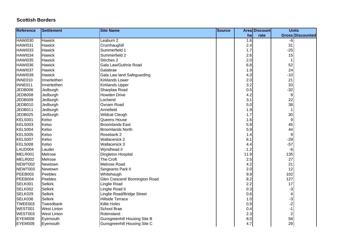| <b>Reference</b> | Settlement         | <b>Site Name</b>                    | <b>Source</b> |         | <b>Area Discount</b> | <b>Units</b>     |                         |
|------------------|--------------------|-------------------------------------|---------------|---------|----------------------|------------------|-------------------------|
|                  |                    |                                     |               | ha      | rate                 |                  | <b>Gross Discounted</b> |
| <b>HAWI030</b>   | <b>Hawick</b>      | Leaburn 2                           |               | 1.6     |                      | -6               |                         |
| <b>HAWI031</b>   | Hawick             | Crumhaughill                        |               | 2.4     |                      | 31               |                         |
| <b>HAWI033</b>   | Hawick             | Summerfield 1                       |               | 1.7     |                      | $-25$            |                         |
| HAWI034          | Hawick             | Summerfield 2                       |               | 2.6     |                      | 15               |                         |
| <b>HAWI035</b>   | Hawick             | Stirches 2                          |               | 2.0     |                      | $\mathbf{1}$     |                         |
| HAWI036          | Hawick             | Gala Law/Guthrie Road               |               | 6.8     |                      | 52               |                         |
| HAWI037          | Hawick             | Galabrae                            |               | 1.9     |                      | 24               |                         |
| <b>HAWI039</b>   | Hawick             | Gala Law land Safeguarding          |               | 4.3     |                      | $-10$            |                         |
| INNE010          | Innerleithen       | <b>Kirklands Lower</b>              |               | 2.0     |                      | 21               |                         |
| INNE011          | Innerleithen       | <b>Kirklands Upper</b>              |               | 3.2     |                      | 33               |                         |
| JEDB006          | Jedburgh           | Sharplaw Road                       |               | 0.5     |                      | $-32$            |                         |
| JEDB008          | Jedburgh           | <b>Howden Drive</b>                 |               | 4.2     |                      | 8                |                         |
| JEDB009          | Jedburgh           | Lochend                             |               | 3.1     |                      | 22               |                         |
| JEDB010          | Jedburgh           | Oxnam Road                          |               | $5.0\,$ |                      | 38               |                         |
| JEDB011          | Jedburgh           | Annefield                           |               | 1.9     |                      | 1                |                         |
| JEDB025          | Jedburgh           | <b>Wildcat Cleugh</b>               |               | 1.7     |                      | 30               |                         |
| KELS001          | Kelso              | Queens House                        |               | 1.6     |                      | 9                |                         |
| KELS003          | Kelso              | <b>Broomlands East</b>              |               | 5.9     |                      | 45               |                         |
| KELS004          | Kelso              | <b>Broomlands North</b>             |               | 5.9     |                      | 44               |                         |
| KELS005          | Kelso              | Rosebank 2                          |               | 1.4     |                      | $\boldsymbol{9}$ |                         |
| KELS007          | Kelso              | <b>Wallacenick 2</b>                |               | 6.1     |                      | $-29$            |                         |
| KELS008          | Kelso              | Wallacenick 3                       |               | 4.4     |                      | $-57$            |                         |
| LAUD004          | Lauder             | Wyndhead II                         |               | 1.2     |                      | -6               |                         |
| MELR001          | Melrose            | <b>Dingleton Hospital</b>           |               | 11.9    |                      | 135              |                         |
| MELR002          | Melrose            | The Croft                           |               | 2.5     |                      | 27               |                         |
| NEWT002          | Newtown            | Melrose Road                        |               | 4.2     |                      | 21               |                         |
| NEWT003          | Newtown            | Sergeants Park II                   |               | 2.0     |                      | 12               |                         |
| PEEB003          | Peebles            | Whitehaugh                          |               | 9.9     |                      | 102              |                         |
| PEEB004          | Peebles            | Glen Crescent/ Bonnington Road      |               | 8.2     |                      | 127              |                         |
| SELK001          | <b>Selkirk</b>     | <b>Linglie Road</b>                 |               | 2.2     |                      | 17               |                         |
| SELK002          | <b>Selkirk</b>     | Linglie Road II                     |               | 0.3     |                      | -3               |                         |
| SELK029          | <b>Selkirk</b>     | Linglie Road/Bridge Street          |               | 0.6     |                      | 4                |                         |
| SELK036          | <b>Selkirk</b>     | <b>Hillside Terrace</b>             |               | 1.0     |                      | -3<br>-2         |                         |
| TWEE003          | Tweedbank          | <b>Killie Holes</b>                 |               | 0.9     |                      |                  |                         |
| WEST001          | <b>West Linton</b> | School Brae                         |               | 0.4     |                      | $-1$             |                         |
| WEST003          | <b>West Linton</b> | Robinsland                          |               | 2.3     |                      | $\boldsymbol{2}$ |                         |
| EYEM008          | Eyemouth           | <b>Gunsgreenhill Housing Site B</b> |               | 8.0     |                      | 58               |                         |
| EYEM009          | Eyemouth           | Gunsgreenhill Housing Site C        |               | 4.7     |                      | 29               |                         |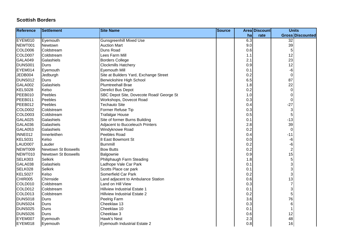| <b>Reference</b> | <b>Settlement</b>   | <b>Site Name</b>                         | <b>Source</b> |     | Area Discount | <b>Units</b>            |                         |
|------------------|---------------------|------------------------------------------|---------------|-----|---------------|-------------------------|-------------------------|
|                  |                     |                                          |               | ha  | rate          |                         | <b>Gross Discounted</b> |
| EYEM010          | Eyemouth            | <b>Gunsgreenhill Mixed Use</b>           |               | 6.3 |               | $\overline{32}$         |                         |
| NEWT001          | Newtown             | <b>Auction Mart</b>                      |               | 9.0 |               | 39                      |                         |
| COLD006          | Coldstream          | Duns Road                                |               | 0.6 |               | 5                       |                         |
| COLD007          | Coldstream          | Lees Farm Mill                           |               | 1.1 |               | 12                      |                         |
| GALA049          | Galashiels          | <b>Borders College</b>                   |               | 2.1 |               | 23                      |                         |
| DUNS001          | Duns                | <b>Clockmills Hatchery</b>               |               | 0.9 |               | 12                      |                         |
| EYEM014          | Eyemouth            | <b>Eyemouth Mill</b>                     |               | 0.1 |               | -6                      |                         |
| JEDB004          | Jedburgh            | Site at Builders Yard, Exchange Street   |               | 0.2 |               | $\mathsf 0$             |                         |
| DUNS012          | <b>Duns</b>         | Berwickshire High School                 |               | 6.5 |               | 87                      |                         |
| GALA002          | Galashiels          | Plumtreehall Brae                        |               | 1.8 |               | 22                      |                         |
| KELS028          | Kelso               | <b>Derelict Bus Depot</b>                |               | 0.2 |               | $\mathbf 0$             |                         |
| PEEB010          | Peebles             | SBC Depot Site, Dovecote Road/ George St |               | 1.0 |               | $\pmb{0}$               |                         |
| PEEB011          | Peebles             | Workshops, Dovecot Road                  |               | 0.3 |               | $\pmb{0}$               |                         |
| PEEB012          | Peebles             | <b>Techauto Site</b>                     |               | 0.4 |               | $-27$                   |                         |
| COLD002          | Coldstream          | Former Refuse Tip                        |               | 0.3 |               | 3                       |                         |
| COLD003          | Coldstream          | <b>Trafalgar House</b>                   |               | 0.5 |               | 5                       |                         |
| GALA025          | Galashiels          | Site of former Burns Building            |               | 0.1 |               | $-13$                   |                         |
| GALA036          | Galashiels          | Adjacent to Bucceleuch Printers          |               | 2.8 |               | 39                      |                         |
| GALA053          | Galashiels          | Windyknowe Road                          |               | 0.2 |               | 0                       |                         |
| INNE012          | Innerleithen        | Peebles Road                             |               | 0.4 |               | $-11$                   |                         |
| KELS031          | Kelso               | 8 East Bowmont St                        |               | 0.0 |               | $-6$                    |                         |
| LAUD007          | Lauder              | <b>Burnmill</b>                          |               | 0.2 |               | -6                      |                         |
| NEWT009          | Newtown St Boswells | <b>Bow Butts</b>                         |               | 0.2 |               | $\overline{\mathbf{c}}$ |                         |
| NEWT010          | Newtown St Boswells | Balgownie                                |               | 0.9 |               | 15                      |                         |
| SELK003          | <b>Selkirk</b>      | Philiphaugh Farm Steading                |               | 1.8 |               | $\mathbf 5$             |                         |
| GALA038          | Galashiels          | Ladhope Vale Car Park                    |               | 0.1 |               | 3                       |                         |
| SELK028          | <b>Selkirk</b>      | Scotts Place car park                    |               | 0.1 |               | 3                       |                         |
| KELS027          | Kelso               | Somerfield Car Park                      |               | 0.2 |               | 3                       |                         |
| CHIR005          | Chirnside           | Land adjacent to Ambulance Station       |               | 0.6 |               | 13                      |                         |
| COLD010          | Coldstream          | Land on Hill View                        |               | 0.3 |               | $\overline{7}$          |                         |
| COLD012          | Coldstream          | Hillview Industrial Estate 1             |               | 0.1 |               | 3                       |                         |
| COLD013          | Coldstream          | Hillview Industrial Estate 2             |               | 0.2 |               | 5                       |                         |
| DUNS018          | Duns                | Peelrig Farm                             |               | 3.6 |               | 76                      |                         |
| DUNS024          | Duns                | Cheeklaw 13                              |               | 0.3 |               | 6                       |                         |
| DUNS025          | Duns                | Cheeklaw 10                              |               | 0.1 |               | 1                       |                         |
| DUNS026          | Duns                | Cheeklaw 3                               |               | 0.6 |               | 12                      |                         |
| EYEM007          | Eyemouth            | Hawk's Nest                              |               | 2.3 |               | 48                      |                         |
| EYEM018          | Eyemouth            | Eyemouth Industrial Estate 2             |               | 0.8 |               | 16                      |                         |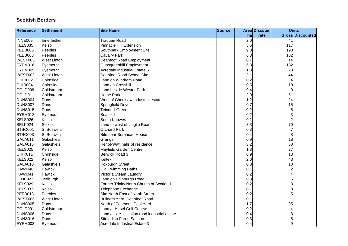| <b>Reference</b> | <b>Settlement</b>  | <b>Site Name</b>                               | <b>Source</b> |     | Area Discount | <b>Units</b>     |                         |
|------------------|--------------------|------------------------------------------------|---------------|-----|---------------|------------------|-------------------------|
|                  |                    |                                                |               | ha  | rate          |                  | <b>Gross Discounted</b> |
| <b>INNE009</b>   | Innerleithen       | <b>Traquair Road</b>                           |               | 2.0 |               | 41               |                         |
| KELS035          | Kelso              | <b>Pinnacle Hill Extension</b>                 |               | 5.6 |               | 117              |                         |
| PEEB005          | Peebles            | Southpark Employment Site                      |               | 9.0 |               | 190              |                         |
| PEEB008          | Peebles            | <b>Cavalry Park</b>                            |               | 6.3 |               | 132              |                         |
| WEST005          | <b>West Linton</b> | Deanfoot Road Employment                       |               | 0.7 |               | 14               |                         |
| EYEM016          | Eyemouth           | <b>Gunsgreenhill Employment</b>                |               | 6.3 |               | 132              |                         |
| EYEM005          | Eyemouth           | <b>Acredale Industrial Estate 5</b>            |               | 1.3 |               | 28               |                         |
| WEST002          | <b>West Linton</b> | Deanfoot Road School Site                      |               | 2.1 |               | 44               |                         |
| CHIR002          | Chirnside          | Land on Windram Road                           |               | 0.2 |               | 4                |                         |
| CHIR004          | Chirnside          | Land on Crosshill                              |               | 0.5 |               | 10               |                         |
| COLD008          | Coldstream         | Land beside Wester Park                        |               | 0.4 |               | 9                |                         |
| COLD011          | Coldstream         | Home Park                                      |               | 2.9 |               | 61               |                         |
| DUNS004          | Duns               | West of Cheeklaw Industrial estate             |               | 1.2 |               | 24               |                         |
| <b>DUNS007</b>   | Duns               | Springfield Drive                              |               | 0.7 |               | 15               |                         |
| <b>DUNS015</b>   | Duns               | <b>Teindhill Green</b>                         |               | 0.2 |               | 5                |                         |
| EYEM012          | Eyemouth           | Seafield                                       |               | 0.2 |               | 3                |                         |
| KELS026          | Kelso              | South Knowes                                   |               | 0.1 |               | $\boldsymbol{2}$ |                         |
| SELK024          | <b>Selkirk</b>     | Land to west of Linglie Road                   |               | 3.3 |               | $70\,$           |                         |
| <b>STBO001</b>   | <b>St Boswells</b> | <b>Orchard Park</b>                            |               | 0.3 |               | $\overline{7}$   |                         |
| STBO003          | <b>St Boswells</b> | Site near Braehead House                       |               | 0.4 |               | 8                |                         |
| GALA011          | Galashiels         | Grange                                         |               | 0.9 |               | 18               |                         |
| GALA016          | Galashiels         | Heriot-Watt halls of residence                 |               | 3.2 |               | 68               |                         |
| KELS025          | Kelso              | Mayfield Garden Centre                         |               | 1.3 |               | 27               |                         |
| CHIR011          | Chirnside          | Berwick Road 3                                 |               | 0.9 |               | 18               |                         |
| KELS022          | Kelso              | Keltek                                         |               | 2.0 |               | 43               |                         |
| GALA010          | Galashiels         | Roxburgh Street                                |               | 0.8 |               | 18               |                         |
| <b>HAWI040</b>   | Hawick             | Old Swimming Baths                             |               | 0.1 |               | $\boldsymbol{2}$ |                         |
| <b>HAWI041</b>   | Hawick             | Victoria Steam Laundry                         |               | 0.2 |               | 4                |                         |
| JEDB022          | Jedburgh           | Land on Edinburgh Road                         |               | 0.3 |               | 6                |                         |
| KELS029          | Kelso              | Former Trinity North Church of Scotland        |               | 0.2 |               | 3                |                         |
| KELS033          | Kelso              | Telephone Exchange                             |               | 0.1 |               | 3                |                         |
| PEEB013          | Peebles            | Site North East of North Street                |               | 0.2 |               | 5                |                         |
| WEST006          | West Linton        | Builders Yard, Deanfoot Road                   |               | 0.1 |               | 1                |                         |
| <b>DUNS005</b>   | Duns               | North of Pearsons Coal Yard                    |               | 1.7 |               | 35               |                         |
| COLD001          | Coldstream         | Land at Hirsel Golf Course                     |               | 0.2 |               | 4                |                         |
| <b>DUNS006</b>   | Duns               | Land at site 1, station road industrial estate |               | 0.4 |               | 8                |                         |
| DUNS016          | Duns               | Site adj to Farne Salmon                       |               | 0.3 |               | 5                |                         |
| EYEM003          | Eyemouth           | Acredale Industrial Estate 3                   |               | 0.4 |               | 9                |                         |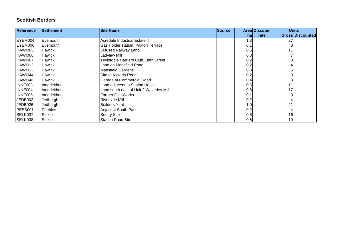| <b>Reference</b> | Settlement    | <b>Site Name</b>                        | <b>Source</b> |                  | Areal Discount |    | <b>Units</b>            |
|------------------|---------------|-----------------------------------------|---------------|------------------|----------------|----|-------------------------|
|                  |               |                                         |               | hal              | rate           |    | <b>Gross Discounted</b> |
| EYEM004          | Eyemouth      | Acredale Industrial Estate 4            |               | 1.3 <sub>1</sub> |                | 27 |                         |
| EYEM006          | Eyemouth      | Gas Holder station, Paxton Terrace      |               | 0.1              |                |    |                         |
| HAWI005          | <b>Hawick</b> | <b>Disused Railway Land</b>             |               | 0.5              |                | 11 |                         |
| HAWI006          | Hawick        | Ladylaw Mill                            |               | 0.3              |                |    |                         |
| HAWI007          | <b>Hawick</b> | Teviotdale Harriers Club, Bath Street   |               | 0.2              |                |    |                         |
| HAWI012          | Hawick        | Land on Mansfield Road                  |               | 0.2              |                |    |                         |
| HAWI013          | <b>Hawick</b> | <b>Mansfield Gardens</b>                |               | 0.3              |                |    |                         |
| HAWI044          | <b>Hawick</b> | Site at Victoria Road                   |               | 0.2              |                |    |                         |
| HAWI046          | Hawick        | Garage at Commercial Road               |               | 0.4              |                | 8  |                         |
| INNE003          | Innerleithen  | Land adjacent to Station House          |               | 0.5              |                | 11 |                         |
| INNE004          | Innerleithen  | Land south east of Unit 2 Waverley Mill |               | 0.8              |                | 17 |                         |
| IINNE005         | Innerleithen  | <b>IFormer Gas Works</b>                |               | 0.1              |                |    |                         |
| JEDB002          | Jedburgh      | <b>Riverside Mill</b>                   |               | 0.2              |                |    |                         |
| JEDB026          | Jedburgh      | <b>Builders Yard</b>                    |               | 1.0 <sub>1</sub> |                | 21 |                         |
| PEEB001          | Peebles       | Adjacent South Park                     |               | 0.2              |                |    |                         |
| <b>ISELK037</b>  | Selkirk       | <b>Sentry Site</b>                      |               | 0.8              |                | 16 |                         |
| SELK038          | Selkirk       | <b>Station Road Site</b>                |               | 0.5              |                | 10 |                         |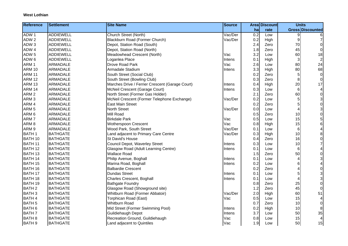| <b>Reference</b>   | <b>Settlement</b> | <b>Site Name</b>                                | <b>Source</b> |     | <b>Area Discount</b> | <b>Units</b> |                                       |
|--------------------|-------------------|-------------------------------------------------|---------------|-----|----------------------|--------------|---------------------------------------|
|                    |                   |                                                 |               | ha  | rate                 |              | Gross Discounted                      |
| ADW <sub>1</sub>   | <b>ADDIEWELL</b>  | <b>Church Street (North)</b>                    | Vac/Der       | 0.2 | Low                  | 9            |                                       |
| ADW <sub>2</sub>   | <b>ADDIEWELL</b>  | Blackburn Road (Former Church)                  | Vac/Der       | 0.2 | High                 | 9            | 7                                     |
| ADW <sub>3</sub>   | <b>ADDIEWELL</b>  | Depot, Station Road (South)                     |               | 2.4 | Zero                 | 70           | $\pmb{0}$                             |
| ADW 4              | <b>ADDIEWELL</b>  | Depot, Station Road (North)                     |               | 1.8 | Zero                 | 45           | $\mathbf 0$                           |
| ADW <sub>5</sub>   | <b>ADDIEWELL</b>  | Meadowhead Crescent (North)                     | Vac           | 3.2 | Low                  | 60           | 18                                    |
| ADW 6              | <b>ADDIEWELL</b>  | Loganlea Place                                  | Intens        | 0.1 | High                 | 3            | $\overline{c}$                        |
| ARM <sub>1</sub>   | <b>ARMADALE</b>   | Drove Road Park                                 | Vac           | 2.6 | Low                  | 80           | 24                                    |
| <b>ARM 10</b>      | <b>ARMADALE</b>   | Armadale Stadium                                | Intens        | 3.3 | High                 | 80           | 68                                    |
| <b>ARM 11</b>      | <b>ARMADALE</b>   | South Street (Social Club)                      |               | 0.2 | Zero                 | 5            | $\pmb{0}$                             |
| <b>ARM 12</b>      | <b>ARMADALE</b>   | South Street (Bowling Club)                     |               | 0.3 | Zero                 | 8            | $\mathbf 0$                           |
| <b>ARM 13</b>      | <b>ARMADALE</b>   | Marches Drive / Ferrier Crescent (Garage Court) | Intens        | 0.4 | High                 | 20           | 17                                    |
| <b>ARM 14</b>      | <b>ARMADALE</b>   | McNeil Crescent (Garage Court)                  | Intens        | 0.3 | Low                  | 6            | 4                                     |
| ARM <sub>2</sub>   | <b>ARMADALE</b>   | North Street (Former Gas Holder)                |               | 2.1 | Zero                 | 60           | $\pmb{0}$                             |
| ARM <sub>3</sub>   | <b>ARMADALE</b>   | McNeil Crescent (Former Telephone Exchange)     | Vac/Der       | 0.2 | Low                  | 5            |                                       |
| ARM 4              | <b>ARMADALE</b>   | <b>East Main Street</b>                         |               | 0.2 | Zero                 | 5            | $\begin{array}{c} 3 \\ 0 \end{array}$ |
| ARM <sub>5</sub>   | <b>ARMADALE</b>   | <b>North Street</b>                             | Vac/Der       | 0.0 | Low                  | 4            | 3                                     |
| ARM <sub>6</sub>   | <b>ARMADALE</b>   | Mill Road                                       |               | 0.5 | Zero                 | 10           | 0                                     |
| ARM <sub>7</sub>   | <b>ARMADALE</b>   | <b>Birkdale Park</b>                            | Vac           | 0.5 | Low                  | 15           | 5                                     |
| ARM <sub>8</sub>   | <b>ARMADALE</b>   | Wotherspoon Crescent                            | Vac           | 0.8 | High                 | 15           | 6                                     |
| ARM <sub>9</sub>   | <b>ARMADALE</b>   | Wood Park, South Street                         | Vac/Der       | 0.1 | Low                  | 6            | 4                                     |
| <b>BATH1</b>       | <b>BATHGATE</b>   | Land adjacent to Primary Care Centre            | Vac/Der       | 0.3 | High                 | 10           | 8                                     |
| BATH 10            | <b>BATHGATE</b>   | St David's House                                |               | 0.4 | Zero                 | 16           | 0                                     |
| BATH 11            | <b>BATHGATE</b>   | Council Depot, Waverley Street                  | Intens        | 0.3 | Low                  | 10           | $\overline{7}$                        |
| BATH <sub>12</sub> | <b>BATHGATE</b>   | Glasgow Road (Adult Learning Centre)            | Intens        | 0.1 | Low                  | 6            | 4                                     |
| BATH <sub>13</sub> | <b>BATHGATE</b>   | <b>Wallace Road</b>                             |               | 1.5 | Zero                 | 50           | 0                                     |
| <b>BATH 14</b>     | <b>BATHGATE</b>   | Philip Avenue, Boghall                          | Intens        | 0.1 | Low                  | 4            | 3                                     |
| <b>BATH 15</b>     | <b>BATHGATE</b>   | Marina Road, Boghall                            | Intens        | 0.2 | Low                  | 6            | 4                                     |
| BATH 16            | <b>BATHGATE</b>   | <b>Balbardie Crescent</b>                       |               | 0.2 | Zero                 |              | 0                                     |
| <b>BATH 17</b>     | <b>BATHGATE</b>   | <b>Dundas Street</b>                            | Intens        | 0.1 | Low                  | 5            | 3                                     |
| BATH 18            | <b>BATHGATE</b>   | Charles Crescent, Boghall                       | Intens        | 0.1 | Low                  | 4            | 3                                     |
| <b>BATH 19</b>     | <b>BATHGATE</b>   | <b>Bathgate Foundry</b>                         |               | 0.8 | Zero                 | 25           | 0                                     |
| <b>BATH2</b>       | <b>BATHGATE</b>   | Glasgow Road (Showground site)                  |               | 1.2 | Zero                 | 45           | $\mathbf 0$                           |
| <b>BATH3</b>       | <b>BATHGATE</b>   | Whitburn Road (Former Abbatoir)                 | Vac/Der       | 2.0 | High                 | 60           | 51                                    |
| <b>BATH4</b>       | <b>BATHGATE</b>   | Torphican Road (East)                           | Vac           | 0.5 | Low                  | 15           | 4                                     |
| <b>BATH 5</b>      | <b>BATHGATE</b>   | <b>Whitburn Road</b>                            |               | 0.7 | Zero                 | 10           | $\pmb{0}$                             |
| BATH <sub>6</sub>  | <b>BATHGATE</b>   | Mid Street (Former Swimming Pool)               | Intens        | 0.2 | High                 | 10           | 8                                     |
| <b>BATH7</b>       | <b>BATHGATE</b>   | Guildiehaugh Depot                              | Intens        | 3.7 | Low                  | 50           | 35                                    |
| <b>BATH 8</b>      | <b>BATHGATE</b>   | Recreation Ground, Guildiehaugh                 | Vac           | 0.8 | Low                  | 15           | $\overline{\mathbf{4}}$               |
| <b>BATH 9</b>      | <b>BATHGATE</b>   | Land adjacent to Quintiles                      | Vac           | 1.9 | Low                  | 50           | 15                                    |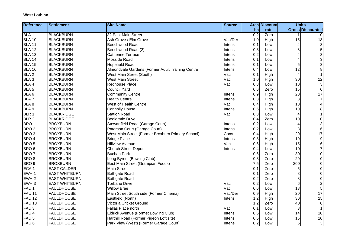| <b>Reference</b> | <b>Settlement</b>    | <b>Site Name</b>                                  | <b>Source</b> |     | <b>Area Discount</b> | <b>Units</b>            |             |
|------------------|----------------------|---------------------------------------------------|---------------|-----|----------------------|-------------------------|-------------|
|                  |                      |                                                   |               | ha  | rate                 | Gross Discounted        |             |
| BLA <sub>1</sub> | <b>BLACKBURN</b>     | 32 East Main Street                               |               | 0.2 | Zero                 |                         |             |
| <b>BLA 10</b>    | <b>BLACKBURN</b>     | Ash Grove / Elm Grove                             | Vac/Der       | 1.0 | High                 | 15                      | 13          |
| <b>BLA 11</b>    | <b>BLACKBURN</b>     | Beechwood Road                                    | Intens        | 0.1 | Low                  | 4                       | 3           |
| <b>BLA 12</b>    | <b>BLACKBURN</b>     | Beechwood Road (2)                                | Intens        | 0.3 | Low                  | 8                       |             |
| <b>BLA 13</b>    | <b>BLACKBURN</b>     | <b>Catherine Terrace</b>                          | Intens        | 0.2 | Low                  |                         | 3           |
| <b>BLA 14</b>    | <b>BLACKBURN</b>     | Mosside Road                                      | Intens        | 0.1 | Low                  | 4                       | 3           |
| <b>BLA 15</b>    | <b>BLACKBURN</b>     | <b>Hopefield Road</b>                             | Intens        | 0.1 | Low                  | 5                       |             |
| <b>BLA 16</b>    | <b>BLACKBURN</b>     | Almondvale Gardens (Former Adult Training Centre  | Intens        | 0.4 | Low                  | 12                      | 8           |
| BLA <sub>2</sub> | <b>BLACKBURN</b>     | West Main Street (South)                          | Vac           | 0.1 | High                 | $\overline{\mathbf{4}}$ |             |
| BLA <sub>3</sub> | <b>BLACKBURN</b>     | <b>West Main Street</b>                           | Vac           | 1.0 | High                 | 30                      | 12          |
| BLA 4            | <b>BLACKBURN</b>     | Redhouse Place                                    | Vac           | 0.3 | Low                  | 10                      | 3           |
| BLA <sub>5</sub> | <b>BLACKBURN</b>     | <b>Council Yard</b>                               |               | 0.6 | Zero                 | 15                      | $\pmb{0}$   |
| BLA6             | <b>BLACKBURN</b>     | <b>Community Centre</b>                           | Intens        | 0.9 | High                 | 20                      | 17          |
| <b>BLA7</b>      | <b>BLACKBURN</b>     | <b>Health Centre</b>                              | Intens        | 0.3 | High                 | 8                       |             |
| BLA <sub>8</sub> | <b>BLACKBURN</b>     | West of Health Centre                             | Vac           | 0.4 | High                 | 10                      |             |
| BLA <sub>9</sub> | <b>BLACKBURN</b>     | <b>Connolly House</b>                             | Intens        | 0.5 | High                 | 10                      | 8           |
| BLR 1            | <b>BLACKRIDGE</b>    | <b>Station Road</b>                               | Vac           | 0.3 | Low                  | 4                       |             |
| BLR <sub>2</sub> | <b>BLACKRIDGE</b>    | <b>Bedlormie Drive</b>                            |               | 0.4 | Zero                 | 10                      | $\Omega$    |
| BRO <sub>1</sub> | <b>BROXBURN</b>      | Stewartfield Road (Garage Court)                  | Intens        | 0.2 | Low                  | $\overline{4}$          | 3           |
| BRO <sub>2</sub> | <b>BROXBURN</b>      | Paterson Court (Garage Court)                     | Intens        | 0.2 | Low                  | 8                       | 6           |
| BRO <sub>3</sub> | <b>BROXBURN</b>      | West Main Street (Former Broxburn Primary School) | Conv          | 0.4 | High                 | 20                      | 17          |
| BRO <sub>4</sub> | <b>BROXBURN</b>      | <b>Bridge Place</b>                               | Intens        | 0.3 | High                 | 10                      | $\mathsf g$ |
| BRO <sub>5</sub> | <b>BROXBURN</b>      | <b>Hillview Avenue</b>                            | Vac           | 0.6 | High                 | 15                      | 6           |
| BRO <sub>6</sub> | <b>BROXBURN</b>      | <b>Church Street Depot</b>                        | Intens        | 0.4 | Low                  | 10                      | 7           |
| BRO <sub>7</sub> | <b>BROXBURN</b>      | <b>Buchan Park</b>                                |               | 0.6 | Zero                 | 30                      | 0           |
| BRO <sub>8</sub> | <b>BROXBURN</b>      | Long Byres (Bowling Club)                         |               | 0.3 | Zero                 | 20                      | $\Omega$    |
| BRO <sub>9</sub> | <b>BROXBURN</b>      | East Main Street (Grampian Foods)                 |               | 7.5 | Zero                 | 200                     | $\mathbf 0$ |
| ECA <sub>1</sub> | <b>EAST CALDER</b>   | <b>Main Street</b>                                |               | 0.1 | Zero                 | 5                       | $\mathbf 0$ |
| EWH 1            | <b>EAST WHITBURN</b> | <b>Bathgate Road</b>                              |               | 0.1 | Zero                 | 8                       | 0           |
| EWH <sub>2</sub> | <b>EAST WHITBURN</b> | <b>Bathgate Road</b>                              |               | 0.2 | Zero                 | 8                       | 0           |
| EWH <sub>3</sub> | <b>EAST WHITBURN</b> | <b>Torbane Drive</b>                              | Vac           | 0.2 | Low                  | 6                       |             |
| FAU 1            | <b>FAULDHOUSE</b>    | <b>Willow Brae</b>                                | Vac           | 0.6 | Low                  | 18                      |             |
| <b>FAU 11</b>    | <b>FAULDHOUSE</b>    | Main Street South side (Former Cinema)            | Vac/Der       | 0.9 | High                 | 20                      | 17          |
| <b>FAU 12</b>    | <b>FAULDHOUSE</b>    | Eastfield (North)                                 | Intens        | 1.2 | High                 | 30                      | 25          |
| <b>FAU 13</b>    | <b>FAULDHOUSE</b>    | Victoria Cricket Ground                           |               | 1.2 | Zero                 | 40                      | $\mathbf 0$ |
| FAU <sub>3</sub> | <b>FAULDHOUSE</b>    | Fallas Place north                                | Vac           | 0.1 | Low                  | 3                       |             |
| FAU 4            | <b>FAULDHOUSE</b>    | Eldrick Avenue (Formet Bowling Club)              | Intens        | 0.5 | Low                  | 14                      | 10          |
| FAU <sub>5</sub> | <b>FAULDHOUSE</b>    | Harthill Road (Former Pigeon Loft site)           | Intens        | 0.5 | Low                  | 15                      | 10          |
| FAU <sub>6</sub> | <b>FAULDHOUSE</b>    | Park View (West) (Former Garage Court)            | Intens        | 0.2 | Low                  | 5                       | 3           |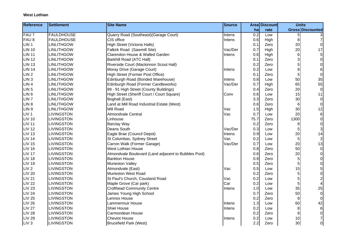| <b>Reference</b> | <b>Settlement</b> | <b>Site Name</b>                                     | <b>Source</b> |      | <b>Area Discount</b> |      | <b>Units</b>     |
|------------------|-------------------|------------------------------------------------------|---------------|------|----------------------|------|------------------|
|                  |                   |                                                      |               | ha   | rate                 |      | Gross Discounted |
| FAU 7            | <b>FAULDHOUSE</b> | Quarry Road (Southeast) (Garage Court)               | Intens        | 0.2  | Low                  | 5    |                  |
| FAU <sub>8</sub> | <b>FAULDHOUSE</b> | CIS office                                           | Intens        | 0.6  | High                 | 8    |                  |
| LIN <sub>1</sub> | <b>LINLITHGOW</b> | High Street (Victoria Halls)                         |               | 0.1  | Zero                 | 20   | $\Omega$         |
| <b>LIN 10</b>    | <b>LINLITHGOW</b> | Falkirk Road (Sawmill Site)                          | Vac/Der       | 0.7  | High                 | 20   | 17               |
| <b>LIN 11</b>    | <b>LINLITHGOW</b> | Clarendon House & Walled Garden                      | Intens        | 0.6  | High                 | 6    | 5 <sup>1</sup>   |
| <b>LIN 12</b>    | <b>LINLITHGOW</b> | Barkhill Road (ATC Hall)                             |               | 0.1  | Zero                 | 3    | $\overline{0}$   |
| <b>LIN 13</b>    | <b>LINLITHGOW</b> | Riverside Court (Mackinnon Scout Hall)               |               | 0.2  | Zero                 | 5    | 0                |
| <b>LIN 14</b>    | <b>LINLITHGOW</b> | Moray Drive (Garage Court)                           | Intens        | 0.2  | Low                  | 8    | $6\vert$         |
| LIN <sub>2</sub> | <b>LINLITHGOW</b> | High Street (Former Post Office)                     |               | 0.1  | Zero                 | 5    | $\Omega$         |
| LIN <sub>3</sub> | <b>LINLITHGOW</b> | Edinburgh Road (Bonded Warehouse)                    | Intens        | 0.8  | Low                  | 50   | 35               |
| LIN <sub>4</sub> | <b>LINLITHGOW</b> | Edinburgh Road (Former Candleworks)                  | Vac/Der       | 0.7  | High                 | 65   | 55               |
| LIN <sub>5</sub> | <b>LINLITHGOW</b> | 89 - 91 High Street (County Buildings)               |               | 0.4  | Zero                 | 20   | $\overline{0}$   |
| LIN <sub>6</sub> | <b>LINLITHGOW</b> | High Street (Sheriff Court / Court Square)           | Conv          | 0.6  | Low                  | 15   | 11               |
| LIN <sub>7</sub> | <b>LINLITHGOW</b> | Boghall (East)                                       |               | 3.3  | Zero                 | 30   | $\overline{0}$   |
| LIN <sub>8</sub> | <b>LINLITHGOW</b> | Land at Mill Road Industrial Estate (West)           |               | 0.6  | Zero                 | 6    | $\overline{0}$   |
| LIN <sub>9</sub> | <b>LINLITHGOW</b> | Mill Road                                            | Vac           | 1.5  | High                 | 30   | 12               |
| LIV <sub>1</sub> | <b>LIVINGSTON</b> | Almondvale Central                                   | Vac           | 0.7  | Low                  | 20   | 6 <sup>1</sup>   |
| <b>LIV 10</b>    | <b>LIVINGSTON</b> | Linhouse                                             |               | 75.7 | Zero                 | 1300 | $\overline{0}$   |
| <b>LIV 11</b>    | <b>LIVINGSTON</b> | <b>Barclay Way</b>                                   |               | 0.2  | Zero                 | 8    | $\overline{0}$   |
| <b>LIV 12</b>    | <b>LIVINGSTON</b> | Deans South                                          | Vac/Der       | 0.3  | Low                  | 5    | 3                |
| <b>LIV 13</b>    | <b>LIVINGSTON</b> | Eagle Brae (Council Depot)                           | Intens        | 0.9  | Low                  | 20   | 14               |
| <b>LIV 14</b>    | <b>LIVINGSTON</b> | St Columbas, Sydney Street                           | Vac           | 0.2  | Low                  | 5    | $\boldsymbol{2}$ |
| <b>LIV 15</b>    | <b>LIVINGSTON</b> | Carron Walk (Former Garage)                          | Vac/Der       | 0.7  | Low                  | 20   | 13               |
| <b>LIV 16</b>    | <b>LIVINGSTON</b> | <b>West Lothian House</b>                            |               | 0.8  | Zero                 | 50   | $\overline{0}$   |
| <b>LIV 17</b>    | <b>LIVINGSTON</b> | Almondvale Boulevard (Land adjacent to Bubbles Pool) |               | 0.6  | Zero                 | 20   | $\overline{0}$   |
| <b>LIV 18</b>    | <b>LIVINGSTON</b> | <b>Bankton House</b>                                 |               | 0.9  | Zero                 | 5    | 0                |
| <b>LIV 19</b>    | <b>LIVINGSTON</b> | Murieston Valley                                     |               | 0.5  | Zero                 | 5    | $\overline{0}$   |
| LIV <sub>2</sub> | LIVINGSTON        | Almondvale (East)                                    | Vac           | 0.5  | Low                  | 15   | $5\vert$         |
| <b>LIV 20</b>    | <b>LIVINGSTON</b> | Murieston West Road                                  |               | 0.2  | Zero                 | 5    | $\overline{0}$   |
| <b>LIV 21</b>    | <b>LIVINGSTON</b> | St Paul's Church, Cousland Road                      | Vac           | 0.2  | Low                  | 5    | $\overline{c}$   |
| <b>LIV 22</b>    | <b>LIVINGSTON</b> | Maple Grove (Car park)                               | Car           | 0.2  | Low                  | 5    |                  |
| <b>LIV 23</b>    | <b>LIVINGSTON</b> | <b>Crofthead Community Centre</b>                    | Intens        | 1.0  | Low                  | 35   | 25               |
| <b>LIV 24</b>    | <b>LIVINGSTON</b> | James Young High School                              |               | 0.7  | Zero                 | 50   | $\overline{0}$   |
| <b>LIV 25</b>    | <b>LIVINGSTON</b> | Lennox House                                         |               | 0.2  | Zero                 | 8    | $\overline{0}$   |
| <b>LIV 26</b>    | <b>LIVINGSTON</b> | Lammermuir House                                     | Intens        | 1.3  | Low                  | 60   | 42               |
| <b>LIV 27</b>    | <b>LIVINGSTON</b> | <b>Shiel House</b>                                   | Intens        | 0.2  | Low                  | 8    | $6 \mid$         |
| <b>LIV 28</b>    | <b>LIVINGSTON</b> | Carmondean House                                     |               | 0.2  | Zero                 | 8    | $\overline{0}$   |
| <b>LIV 29</b>    | <b>LIVINGSTON</b> | <b>Cheviot House</b>                                 | Intens        | 0.2  | Low                  | 10   | $\overline{7}$   |
| LIV <sub>3</sub> | <b>LIVINGSTON</b> | <b>Brucefield Park (West)</b>                        |               | 2.2  | Zero                 | 30   | οI               |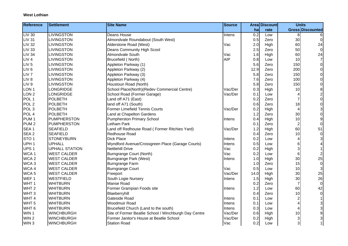| <b>Reference</b> | <b>Settlement</b>     | <b>Site Name</b>                                      | <b>Source</b> |      | <b>Area Discount</b> |                | <b>Units</b>            |
|------------------|-----------------------|-------------------------------------------------------|---------------|------|----------------------|----------------|-------------------------|
|                  |                       |                                                       |               | ha   | rate                 |                | Gross Discounted        |
| <b>LIV 30</b>    | <b>LIVINGSTON</b>     | Deans House                                           | Intens        | 0.2  | Low                  | 8              |                         |
| <b>LIV 31</b>    | LIVINGSTON            | Almondvale Roundabout (South West)                    |               | 0.5  | Zero                 | 30             | 0                       |
| <b>LIV 32</b>    | <b>LIVINGSTON</b>     | Alderstone Road (West)                                | Vac           | 2.0  | High                 | 60             | 24                      |
| <b>LIV 33</b>    | <b>LIVINGSTON</b>     | <b>Deans Community High Scool</b>                     |               | 2.5  | Zero                 | 50             | 0                       |
| <b>LIV 34</b>    | <b>LIVINGSTON</b>     | Almondvale South                                      | Vac           | 1.6  | High                 | 60             | 24                      |
| LIV <sub>4</sub> | <b>LIVINGSTON</b>     | Brucefield (North)                                    | <b>AIP</b>    | 0.8  | Low                  | 10             | $\overline{7}$          |
| LIV <sub>5</sub> | <b>LIVINGSTON</b>     | Appleton Parkway (1)                                  |               | 5.6  | Zero                 | 150            | $\pmb{0}$               |
| LIV <sub>6</sub> | LIVINGSTON            | Appleton Parkway (2)                                  |               | 12.9 | Zero                 | 200            | 0                       |
| LIV <sub>7</sub> | <b>LIVINGSTON</b>     | Appleton Parkway (3)                                  |               | 5.8  | Zero                 | 150            | 0                       |
| LIV <sub>8</sub> | <b>LIVINGSTON</b>     | Appleton Parkway (4)                                  |               | 7.6  | Zero                 | 100            | $\pmb{0}$               |
| LIV <sub>9</sub> | <b>LIVINGSTON</b>     | Houstoun Road (North)                                 |               | 5.8  | Zero                 | 150            | 0                       |
| LON <sub>1</sub> | LONGRIDGE             | School Place(North)(Redev Commercial Centre)          | Vac/Der       | 0.3  | High                 | 10             | $\bf 8$                 |
| LON <sub>2</sub> | <b>LONGRIDGE</b>      | School Road (Former Garage)                           | Vac/Der       | 0.1  | Low                  | 4              | $\overline{\mathbf{c}}$ |
| POL <sub>1</sub> | POLBETH               | Land off A71 (East)                                   |               | 0.2  | Zero                 | 7              | $\mathbf 0$             |
| POL <sub>2</sub> | POLBETH               | land off A71 (South)                                  |               | 0.6  | Zero                 | 18             | $\boldsymbol{0}$        |
| POL <sub>3</sub> | POLBETH               | <b>Former Limefield Tennis Courts</b>                 | Vac/Der       | 0.2  | High                 | 4              | 3                       |
| POL <sub>4</sub> | <b>POLBETH</b>        | Land at Chapelton Gardens                             |               | 1.2  | Zero                 | 30             | $\mathbf 0$             |
| PUM <sub>1</sub> | PUMPHERSTON           | <b>Pumpherston Primary School</b>                     | Intens        | 0.4  | High                 | 10             | $\boldsymbol{9}$        |
| PUM <sub>2</sub> | PUMPHERSTON           | Letham Park                                           |               | 0.1  | Zero                 | $\overline{2}$ | $\mathbf 0$             |
| SEA <sub>1</sub> | <b>SEAFIELD</b>       | Land off Redhouse Road (Former Ritchies Yard)         | Vac/Der       | 1.2  | High                 | 60             | 51                      |
| SEA <sub>2</sub> | <b>SEAFIELD</b>       | Redhouse Road                                         |               | 0.4  | Zero                 | 10             | $\mathbf 0$             |
| STO <sub>1</sub> | STONEYBURN            | <b>Dick Place</b>                                     | Intens        | 0.2  | Low                  | 4              | 3                       |
| UPH <sub>1</sub> | <b>UPHALL</b>         | Wyndford Avenue/Crossgreen Place (Garage Courts)      | Intens        | 0.5  | Low                  | 6              | 4                       |
| UPS <sub>1</sub> | <b>UPHALL STATION</b> | Nettlehill Drive                                      | Vac           | 0.2  | High                 | 3              |                         |
| WCA <sub>1</sub> | <b>WEST CALDER</b>    | Burngrange Court (North)                              | Vac           | 0.2  | Low                  | 6              | $\overline{\mathbf{c}}$ |
| WCA <sub>2</sub> | <b>WEST CALDER</b>    | Burngrange Park (West)                                | Intens        | 1.0  | High                 | 30             | 25                      |
| WCA <sub>3</sub> | <b>WEST CALDER</b>    | Burngrange Farm                                       |               | 1.0  | Zero                 | 15             | $\mathbf 0$             |
| WCA 4            | <b>WEST CALDER</b>    | <b>Burngrange Court</b>                               | Vac           | 0.5  | Low                  | 10             | $\sqrt{3}$              |
| WCA <sub>5</sub> | <b>WEST CALDER</b>    | Freeport                                              | Vac/Der       | 14.0 | High                 | 30             | 25                      |
| WEF 1            | <b>WESTFIELD</b>      | South Logie Nursery                                   | Intens        | 1.5  | High                 | 30             | 26                      |
| WHT <sub>1</sub> | <b>WHITBURN</b>       | Manse Road                                            |               | 0.2  | Zero                 | 7              | $\mathbf 0$             |
| WHT <sub>2</sub> | <b>WHITBURN</b>       | Former Grampian Foods site                            | Intens        | 1.2  | Low                  | 60             | 42                      |
| WHT <sub>3</sub> | <b>WHITBURN</b>       | Blaeberryhill                                         |               | 0.4  | Zero                 | 10             | $\boldsymbol{0}$        |
| WHT <sub>4</sub> | <b>WHITBURN</b>       | Gateside Road                                         | Intens        | 0.1  | Low                  | $\overline{c}$ | 1                       |
| WHT <sub>5</sub> | <b>WHITBURN</b>       | <b>Woodmuir Road</b>                                  | Intens        | 0.1  | Low                  |                | 3                       |
| WHT6             | <b>WHITBURN</b>       | Brucefield Church (Land to the south)                 | Intens        | 0.3  | Low                  | 4              | 3                       |
| WIN 1            | <b>WINCHBURGH</b>     | Site of Former Beatlie School / Winchburgh Day Centre | Vac/Der       | 0.6  | High                 | 10             | 9                       |
| WIN <sub>2</sub> | WINCHBURGH            | Former Janitor's House at Beatlie School              | Vac/Der       | 0.2  | High                 | 3              | 3                       |
| WIN <sub>3</sub> | <b>WINCHBURGH</b>     | <b>Station Road</b>                                   | Vac           | 0.2  | Low                  | 3              |                         |